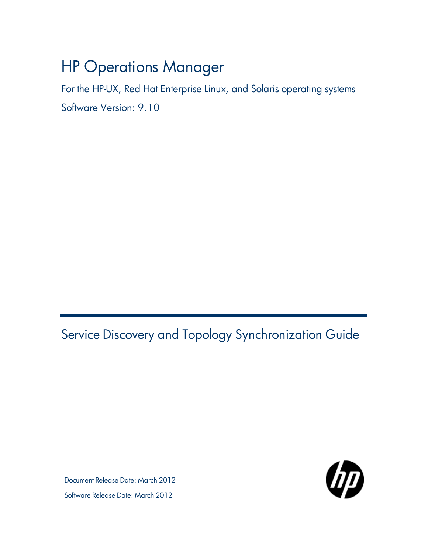# HP Operations Manager

For the HP-UX, Red Hat Enterprise Linux, and Solaris operating systems Software Version: 9.10

<span id="page-0-0"></span>Service Discovery and Topology Synchronization Guide

Document Release Date: March 2012 Software Release Date: March 2012

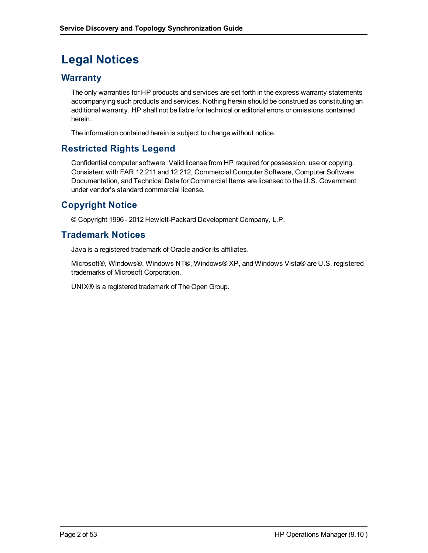# **Legal Notices**

# **Warranty**

The only warranties for HP products and services are set forth in the express warranty statements accompanying such products and services. Nothing herein should be construed as constituting an additional warranty. HP shall not be liable for technical or editorial errors or omissions contained herein.

The information contained herein is subject to change without notice.

# **Restricted Rights Legend**

Confidential computer software. Valid license from HP required for possession, use or copying. Consistent with FAR 12.211 and 12.212, Commercial Computer Software, Computer Software Documentation, and Technical Data for Commercial Items are licensed to the U.S. Government under vendor's standard commercial license.

# **Copyright Notice**

© Copyright 1996 - 2012 Hewlett-Packard Development Company, L.P.

# **Trademark Notices**

Java is a registered trademark of Oracle and/or its affiliates.

Microsoft®, Windows®, Windows NT®, Windows® XP, and Windows Vista® are U.S. registered trademarks of Microsoft Corporation.

UNIX® is a registered trademark of The Open Group.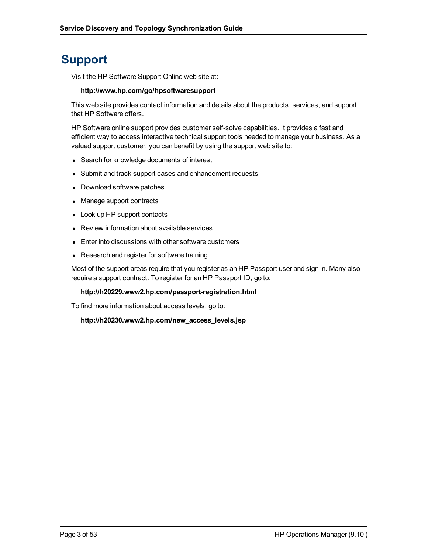# **Support**

Visit the HP Software Support Online web site at:

#### **http://www.hp.com/go/hpsoftwaresupport**

This web site provides contact information and details about the products, services, and support that HP Software offers.

HP Software online support provides customer self-solve capabilities. It provides a fast and efficient way to access interactive technical support tools needed to manage your business. As a valued support customer, you can benefit by using the support web site to:

- Search for knowledge documents of interest
- Submit and track support cases and enhancement requests
- Download software patches
- Manage support contracts
- Look up HP support contacts
- Review information about available services
- Enter into discussions with other software customers
- Research and register for software training

Most of the support areas require that you register as an HP Passport user and sign in. Many also require a support contract. To register for an HP Passport ID, go to:

#### **http://h20229.www2.hp.com/passport-registration.html**

To find more information about access levels, go to:

**http://h20230.www2.hp.com/new\_access\_levels.jsp**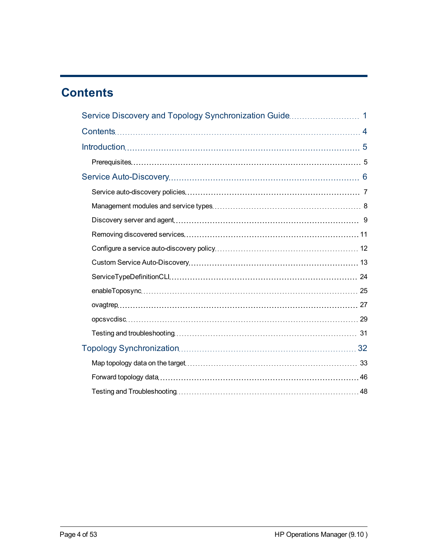# <span id="page-3-0"></span>**Contents**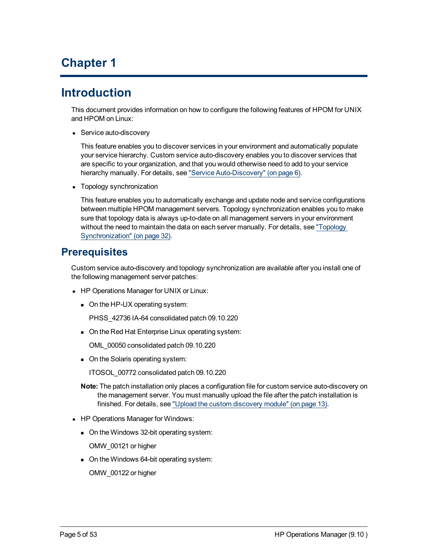# **Chapter 1**

# <span id="page-4-0"></span>**Introduction**

This document provides information on how to configure the following features of HPOM for UNIX and HPOM on Linux:

• Service auto-discovery

This feature enables you to discover services in your environment and automatically populate your service hierarchy. Custom service auto-discovery enables you to discover services that are specific to your organization, and that you would otherwise need to add to your service hierarchy manually. For details, see ["Service](#page-5-0) [Auto-Discovery"](#page-5-0) [\(on](#page-5-0) [page](#page-5-0) [6\).](#page-5-0)

• Topology synchronization

This feature enables you to automatically exchange and update node and service configurations between multiple HPOM management servers. Topology synchronization enables you to make sure that topology data is always up-to-date on all management servers in your environment without the need to maintain the data on each server manually. For details, see ["Topology](#page-31-0) [Synchronization"](#page-31-0) [\(on](#page-31-0) [page](#page-31-0) [32\).](#page-31-0)

# <span id="page-4-1"></span>**Prerequisites**

Custom service auto-discovery and topology synchronization are available after you install one of the following management server patches:

- HP Operations Manager for UNIX or Linux:
	- $\Box$  On the HP-UX operating system:

PHSS\_42736 IA-64 consolidated patch 09.10.220

• On the Red Hat Enterprise Linux operating system:

OML\_00050 consolidated patch 09.10.220

• On the Solaris operating system:

ITOSOL\_00772 consolidated patch 09.10.220

- **Note:** The patch installation only places a configuration file for custom service auto-discovery on the management server. You must manually upload the file after the patch installation is finished. For details, see ["Upload](#page-12-1) [the](#page-12-1) [custom](#page-12-1) [discovery](#page-12-1) [module"](#page-12-1) [\(on](#page-12-1) [page](#page-12-1) [13\)](#page-12-1).
- HP Operations Manager for Windows:
	- On the Windows 32-bit operating system:

OMW\_00121 or higher

• On the Windows 64-bit operating system:

OMW\_00122 or higher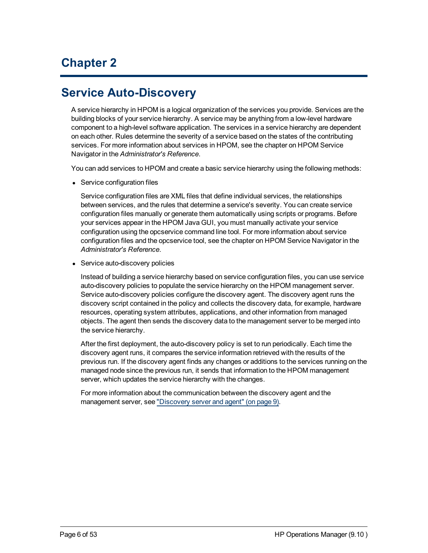# **Chapter 2**

# <span id="page-5-0"></span>**Service Auto-Discovery**

A service hierarchy in HPOM is a logical organization of the services you provide. Services are the building blocks of your service hierarchy. A service may be anything from a low-level hardware component to a high-level software application. The services in a service hierarchy are dependent on each other. Rules determine the severity of a service based on the states of the contributing services. For more information about services in HPOM, see the chapter on HPOM Service Navigator in the *Administrator's Reference*.

You can add services to HPOM and create a basic service hierarchy using the following methods:

• Service configuration files

Service configuration files are XML files that define individual services, the relationships between services, and the rules that determine a service's severity. You can create service configuration files manually or generate them automatically using scripts or programs. Before your services appear in the HPOM Java GUI, you must manually activate your service configuration using the opcservice command line tool. For more information about service configuration files and the opcservice tool, see the chapter on HPOM Service Navigator in the *Administrator's Reference*.

• Service auto-discovery policies

Instead of building a service hierarchy based on service configuration files, you can use service auto-discovery policies to populate the service hierarchy on the HPOM management server. Service auto-discovery policies configure the discovery agent. The discovery agent runs the discovery script contained in the policy and collects the discovery data, for example, hardware resources, operating system attributes, applications, and other information from managed objects. The agent then sends the discovery data to the management server to be merged into the service hierarchy.

After the first deployment, the auto-discovery policy is set to run periodically. Each time the discovery agent runs, it compares the service information retrieved with the results of the previous run. If the discovery agent finds any changes or additions to the services running on the managed node since the previous run, it sends that information to the HPOM management server, which updates the service hierarchy with the changes.

For more information about the communication between the discovery agent and the management server, see ["Discovery](#page-8-0) [server](#page-8-0) [and](#page-8-0) [agent"](#page-8-0) [\(on](#page-8-0) [page](#page-8-0) [9\)](#page-8-0).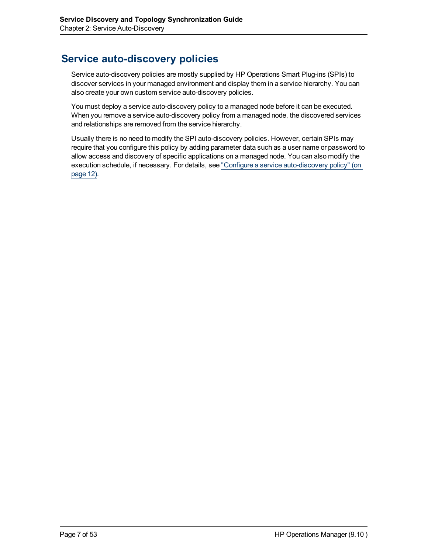# <span id="page-6-0"></span>**Service auto-discovery policies**

Service auto-discovery policies are mostly supplied by HP Operations Smart Plug-ins (SPIs) to discover services in your managed environment and display them in a service hierarchy. You can also create your own custom service auto-discovery policies.

You must deploy a service auto-discovery policy to a managed node before it can be executed. When you remove a service auto-discovery policy from a managed node, the discovered services and relationships are removed from the service hierarchy.

Usually there is no need to modify the SPI auto-discovery policies. However, certain SPIs may require that you configure this policy by adding parameter data such as a user name or password to allow access and discovery of specific applications on a managed node. You can also modify the execution schedule, if necessary. For details, see ["Configure](#page-11-0) [a](#page-11-0) [service](#page-11-0) [auto-discovery](#page-11-0) [policy"](#page-11-0) [\(on](#page-11-0) [page](#page-11-0) [12\).](#page-11-0)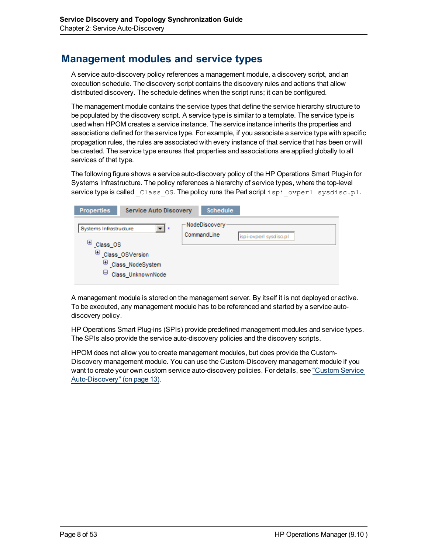# <span id="page-7-0"></span>**Management modules and service types**

A service auto-discovery policy references a management module, a discovery script, and an execution schedule. The discovery script contains the discovery rules and actions that allow distributed discovery. The schedule defines when the script runs; it can be configured.

The management module contains the service types that define the service hierarchy structure to be populated by the discovery script. A service type is similar to a template. The service type is used when HPOM creates a service instance. The service instance inherits the properties and associations defined for the service type. For example, if you associate a service type with specific propagation rules, the rules are associated with every instance of that service that has been or will be created. The service type ensures that properties and associations are applied globally to all services of that type.

The following figure shows a service auto-discovery policy of the HP Operations Smart Plug-in for Systems Infrastructure. The policy references a hierarchy of service types, where the top-level service type is called class OS. The policy runs the Perl script ispi ovperl sysdisc.pl.

| <b>Properties</b>                                 | <b>Service Auto Discovery</b>                                   |  | <b>Schedule</b>                          |                        |
|---------------------------------------------------|-----------------------------------------------------------------|--|------------------------------------------|------------------------|
| Systems Infrastructure<br>⊕<br>Class_OS<br>⊕<br>ь | ▼∥∗<br>Class_OSVersion<br>Class_NodeSystem<br>Class_UnknownNode |  | $\sqsubset$ NodeDiscovery<br>CommandLine | ispi-ovperl sysdisc.pl |

A management module is stored on the management server. By itself it is not deployed or active. To be executed, any management module has to be referenced and started by a service autodiscovery policy.

HP Operations Smart Plug-ins (SPIs) provide predefined management modules and service types. The SPIs also provide the service auto-discovery policies and the discovery scripts.

HPOM does not allow you to create management modules, but does provide the Custom-Discovery management module. You can use the Custom-Discovery management module if you want to create your own custom service auto-discovery policies. For details, see ["Custom](#page-12-0) [Service](#page-12-0) [Auto-Discovery"](#page-12-0) [\(on](#page-12-0) [page](#page-12-0) [13\)](#page-12-0).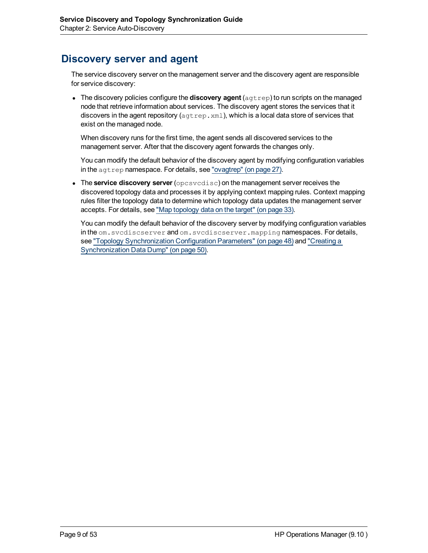# <span id="page-8-0"></span>**Discovery server and agent**

The service discovery server on the management server and the discovery agent are responsible for service discovery:

<sup>l</sup> The discovery policies configure the **discovery agent** (agtrep) to run scripts on the managed node that retrieve information about services. The discovery agent stores the services that it discovers in the agent repository  $(a^{str} \epsilon p \cdot xm)$ , which is a local data store of services that exist on the managed node.

When discovery runs for the first time, the agent sends all discovered services to the management server. After that the discovery agent forwards the changes only.

You can modify the default behavior of the discovery agent by modifying configuration variables in the agtrep namespace. For details, see ["ovagtrep"](#page-26-0) [\(on](#page-26-0) [page](#page-26-0) [27\).](#page-26-0)

**.** The **service** discovery server (opcsvcdisc) on the management server receives the discovered topology data and processes it by applying context mapping rules. Context mapping rules filter the topology data to determine which topology data updates the management server accepts. For details, see ["Map](#page-32-0) [topology](#page-32-0) [data](#page-32-0) [on](#page-32-0) [the](#page-32-0) [target"](#page-32-0) [\(on](#page-32-0) [page](#page-32-0) [33\)](#page-32-0).

You can modify the default behavior of the discovery server by modifying configuration variables in the om.svcdiscserver and om.svcdiscserver.mapping namespaces. For details, see ["Topology](#page-47-1) [Synchronization](#page-47-1) [Configuration](#page-47-1) [Parameters"](#page-47-1) [\(on](#page-47-1) [page](#page-47-1) [48\)](#page-47-1) and ["Creating](#page-49-0) [a](#page-49-0) [Synchronization](#page-49-0) [Data](#page-49-0) [Dump"](#page-49-0) [\(on](#page-49-0) [page](#page-49-0) [50\).](#page-49-0)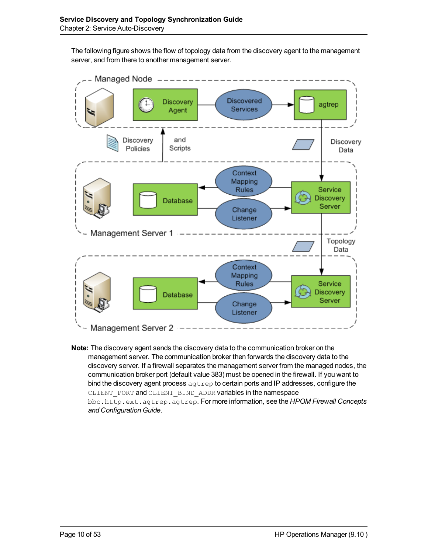The following figure shows the flow of topology data from the discovery agent to the management server, and from there to another management server.



**Note:** The discovery agent sends the discovery data to the communication broker on the management server. The communication broker then forwards the discovery data to the discovery server. If a firewall separates the management server from the managed nodes, the communication broker port (default value 383) must be opened in the firewall. If you want to bind the discovery agent process  $a$ gtrep to certain ports and IP addresses, configure the CLIENT PORT and CLIENT BIND ADDR variables in the namespace bbc.http.ext.agtrep.agtrep. For more information, see the *HPOM Firewall Concepts and Configuration Guide*.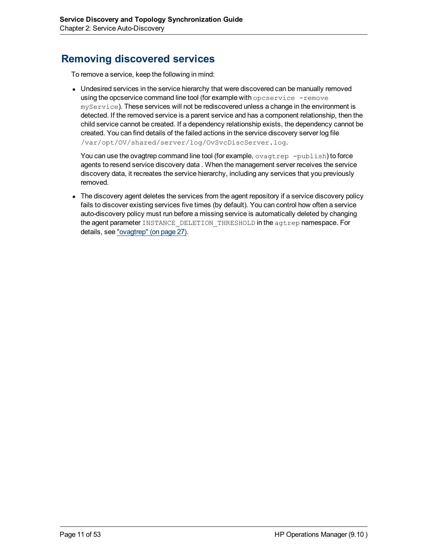# <span id="page-10-0"></span>**Removing discovered services**

To remove a service, keep the following in mind:

• Undesired services in the service hierarchy that were discovered can be manually removed using the opcservice command line tool (for example with opcservice -remove myService). These services will not be rediscovered unless a change in the environment is detected. If the removed service is a parent service and has a component relationship, then the child service cannot be created. If a dependency relationship exists, the dependency cannot be created. You can find details of the failed actions in the service discovery server log file /var/opt/OV/shared/server/log/OvSvcDiscServer.log.

You can use the ovagtrep command line tool (for example,  $\overline{\text{ovagtrep}}$  -publish) to force agents to resend service discovery data . When the management server receives the service discovery data, it recreates the service hierarchy, including any services that you previously removed.

• The discovery agent deletes the services from the agent repository if a service discovery policy fails to discover existing services five times (by default). You can control how often a service auto-discovery policy must run before a missing service is automatically deleted by changing the agent parameter INSTANCE DELETION THRESHOLD in the agtrep namespace. For details, see ["ovagtrep"](#page-26-0) [\(on](#page-26-0) [page](#page-26-0) [27\)](#page-26-0).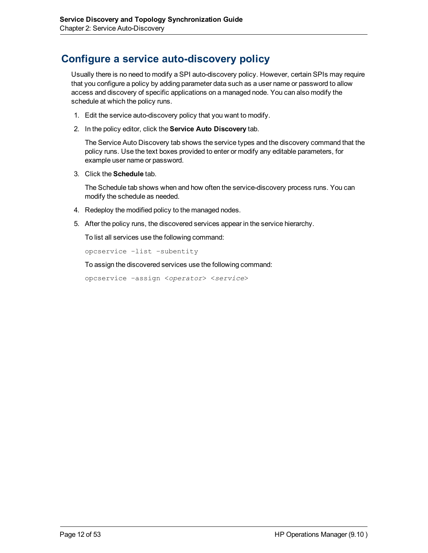# <span id="page-11-0"></span>**Configure a service auto-discovery policy**

Usually there is no need to modify a SPI auto-discovery policy. However, certain SPIs may require that you configure a policy by adding parameter data such as a user name or password to allow access and discovery of specific applications on a managed node. You can also modify the schedule at which the policy runs.

- 1. Edit the service auto-discovery policy that you want to modify.
- 2. In the policy editor, click the **Service Auto Discovery** tab.

The Service Auto Discovery tab shows the service types and the discovery command that the policy runs. Use the text boxes provided to enter or modify any editable parameters, for example user name or password.

3. Click the **Schedule** tab.

The Schedule tab shows when and how often the service-discovery process runs. You can modify the schedule as needed.

- 4. Redeploy the modified policy to the managed nodes.
- 5. After the policy runs, the discovered services appear in the service hierarchy.

To list all services use the following command:

```
opcservice –list –subentity
```
To assign the discovered services use the following command:

opcservice –assign <*operator*> <*service*>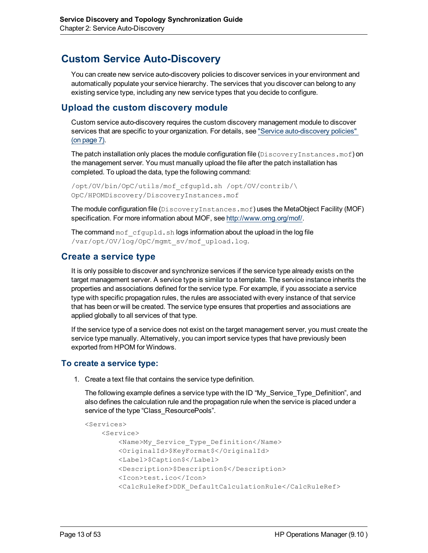# <span id="page-12-0"></span>**Custom Service Auto-Discovery**

You can create new service auto-discovery policies to discover services in your environment and automatically populate your service hierarchy. The services that you discover can belong to any existing service type, including any new service types that you decide to configure.

## <span id="page-12-1"></span>**Upload the custom discovery module**

Custom service auto-discovery requires the custom discovery management module to discover services that are specific to your organization. For details, see ["Service](#page-6-0) [auto-discovery](#page-6-0) [policies"](#page-6-0) [\(on](#page-6-0) [page](#page-6-0) [7\)](#page-6-0).

The patch installation only places the module configuration file ( $\text{DiscoveryInstances.mof}$ ) on the management server. You must manually upload the file after the patch installation has completed. To upload the data, type the following command:

/opt/OV/bin/OpC/utils/mof\_cfgupld.sh /opt/OV/contrib/\ OpC/HPOMDiscovery/DiscoveryInstances.mof

The module configuration file (DiscoveryInstances.mof) uses the MetaObject Facility (MOF) specification. For more information about MOF, see [http://www.omg.org/mof/.](http://www.omg.org/mof/)

<span id="page-12-2"></span>The command  $m \circ f \circ c f g \circ u \circ l \circ d$ . sh logs information about the upload in the log file /var/opt/OV/log/OpC/mgmt\_sv/mof\_upload.log.

## **Create a service type**

It is only possible to discover and synchronize services if the service type already exists on the target management server. A service type is similar to a template. The service instance inherits the properties and associations defined for the service type. For example, if you associate a service type with specific propagation rules, the rules are associated with every instance of that service that has been or will be created. The service type ensures that properties and associations are applied globally to all services of that type.

If the service type of a service does not exist on the target management server, you must create the service type manually. Alternatively, you can import service types that have previously been exported from HPOM for Windows.

### **To create a service type:**

1. Create a text file that contains the service type definition.

The following example defines a service type with the ID "My\_Service\_Type\_Definition", and also defines the calculation rule and the propagation rule when the service is placed under a service of the type "Class\_ResourcePools".

```
<Services>
   <Service>
        <Name>My_Service_Type_Definition</Name>
        <OriginalId>$KeyFormat$</OriginalId>
        <Label>$Caption$</Label>
        <Description>$Description$</Description>
        <Icon>test.ico</Icon>
        <CalcRuleRef>DDK_DefaultCalculationRule</CalcRuleRef>
```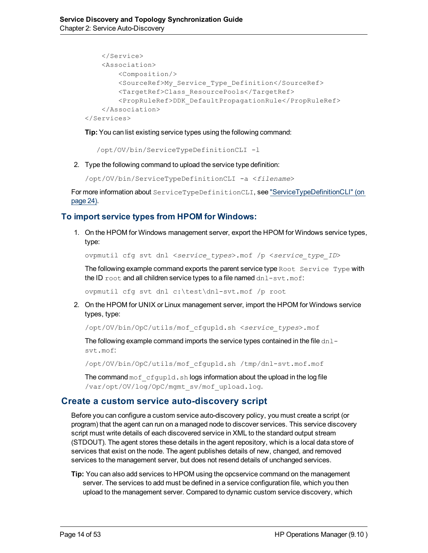```
</Service>
    <Association>
        <Composition/>
        <SourceRef>My_Service_Type_Definition</SourceRef>
        <TargetRef>Class_ResourcePools</TargetRef>
        <PropRuleRef>DDK_DefaultPropagationRule</PropRuleRef>
   </Association>
</Services>
```
**Tip:** You can list existing service types using the following command:

/opt/OV/bin/ServiceTypeDefinitionCLI -l

2. Type the following command to upload the service type definition:

```
/opt/OV/bin/ServiceTypeDefinitionCLI -a <filename>
```
For more information about ServiceTypeDefinitionCLI, see ["ServiceTypeDefinitionCLI"](#page-23-0) [\(on](#page-23-0) [page](#page-23-0) [24\).](#page-23-0)

### **To import service types from HPOM for Windows:**

1. On the HPOM for Windows management server, export the HPOM for Windows service types, type:

ovpmutil cfg svt dnl <*service\_types*>.mof /p <*service\_type\_ID*>

The following example command exports the parent service type  $Root$  Service Type with the ID  $root$  and all children service types to a file named  $dn1-svt$ .mof:

ovpmutil cfg svt dnl c:\test\dnl-svt.mof /p root

2. On the HPOM for UNIX or Linux management server, import the HPOM for Windows service types, type:

/opt/OV/bin/OpC/utils/mof\_cfgupld.sh <*service\_types*>.mof

The following example command imports the service types contained in the file  $dn1$ svt.mof:

/opt/OV/bin/OpC/utils/mof\_cfgupld.sh /tmp/dnl-svt.mof.mof

The command  $\text{mod}\ \text{cfqupd.}$ sh logs information about the upload in the log file /var/opt/OV/log/OpC/mgmt\_sv/mof\_upload.log.

### **Create a custom service auto-discovery script**

Before you can configure a custom service auto-discovery policy, you must create a script (or program) that the agent can run on a managed node to discover services. This service discovery script must write details of each discovered service in XML to the standard output stream (STDOUT). The agent stores these details in the agent repository, which is a local data store of services that exist on the node. The agent publishes details of new, changed, and removed services to the management server, but does not resend details of unchanged services.

**Tip:** You can also add services to HPOM using the opcservice command on the management server. The services to add must be defined in a service configuration file, which you then upload to the management server. Compared to dynamic custom service discovery, which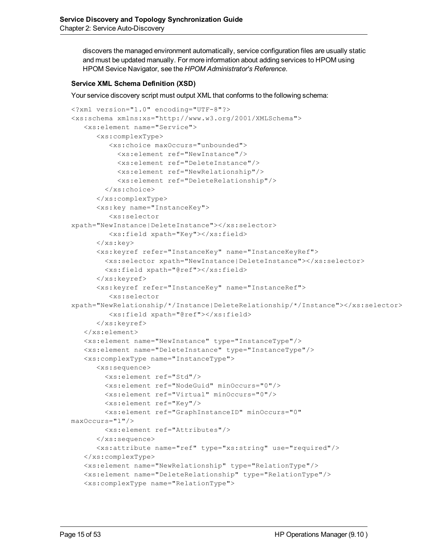discovers the managed environment automatically, service configuration files are usually static and must be updated manually. For more information about adding services to HPOM using HPOM Sevice Navigator, see the *HPOM Administrator's Reference*.

#### **Service XML Schema Definition (XSD)**

Your service discovery script must output XML that conforms to the following schema:

```
<?xml version="1.0" encoding="UTF-8"?>
<xs:schema xmlns:xs="http://www.w3.org/2001/XMLSchema">
   <xs:element name="Service">
      <xs:complexType>
         <xs:choice maxOccurs="unbounded">
           <xs:element ref="NewInstance"/>
           <xs:element ref="DeleteInstance"/>
           <xs:element ref="NewRelationship"/>
           <xs:element ref="DeleteRelationship"/>
        </xs:choice>
      </xs:complexType>
      <xs:key name="InstanceKey">
         <xs:selector
xpath="NewInstance|DeleteInstance"></xs:selector>
         <xs:field xpath="Key"></xs:field>
      \langle /xs: key>
      <xs:keyref refer="InstanceKey" name="InstanceKeyRef">
        <xs:selector xpath="NewInstance|DeleteInstance"></xs:selector>
        <xs:field xpath="@ref"></xs:field>
      \langle xs:keyref\rangle<xs:keyref refer="InstanceKey" name="InstanceRef">
         <xs:selector
xpath="NewRelationship/*/Instance|DeleteRelationship/*/Instance"></xs:selector>
         <xs:field xpath="@ref"></xs:field>
      </xs:keyref>
   </xs:element>
   <xs:element name="NewInstance" type="InstanceType"/>
   <xs:element name="DeleteInstance" type="InstanceType"/>
   <xs:complexType name="InstanceType">
      <xs:sequence>
        <xs:element ref="Std"/>
        <xs:element ref="NodeGuid" minOccurs="0"/>
        <xs:element ref="Virtual" minOccurs="0"/>
        <xs:element ref="Key"/>
        <xs:element ref="GraphInstanceID" minOccurs="0"
maxOccurs="1"/>
        <xs:element ref="Attributes"/>
      </xs:sequence>
      <xs:attribute name="ref" type="xs:string" use="required"/>
   </xs:complexType>
   <xs:element name="NewRelationship" type="RelationType"/>
   <xs:element name="DeleteRelationship" type="RelationType"/>
   <xs:complexType name="RelationType">
```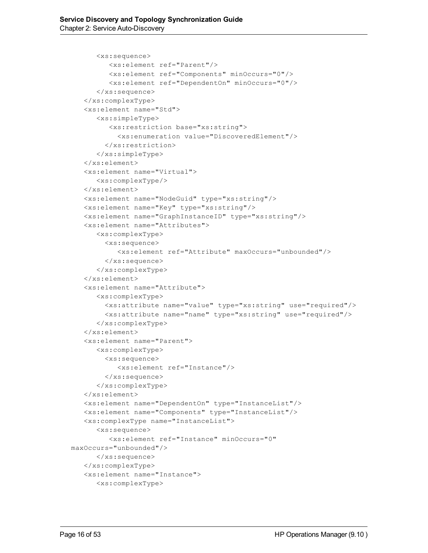```
<xs:sequence>
         <xs:element ref="Parent"/>
         <xs:element ref="Components" minOccurs="0"/>
         <xs:element ref="DependentOn" minOccurs="0"/>
      </xs:sequence>
   </xs:complexType>
   <xs:element name="Std">
      <xs:simpleType>
         <xs:restriction base="xs:string">
           <xs:enumeration value="DiscoveredElement"/>
        </xs:restriction>
      </xs:simpleType>
   </xs:element>
   <xs:element name="Virtual">
      <xs:complexType/>
   </xs:element>
   <xs:element name="NodeGuid" type="xs:string"/>
   <xs:element name="Key" type="xs:string"/>
   <xs:element name="GraphInstanceID" type="xs:string"/>
   <xs:element name="Attributes">
      <xs:complexType>
        <xs:sequence>
           <xs:element ref="Attribute" maxOccurs="unbounded"/>
        </xs:sequence>
      </xs:complexType>
   </xs:element>
   <xs:element name="Attribute">
      <xs:complexType>
        <xs:attribute name="value" type="xs:string" use="required"/>
        <xs:attribute name="name" type="xs:string" use="required"/>
      </xs:complexType>
   </xs:element>
   <xs:element name="Parent">
      <xs:complexType>
        <xs:sequence>
           <xs:element ref="Instance"/>
        </xs:sequence>
      </xs:complexType>
   </xs:element>
   <xs:element name="DependentOn" type="InstanceList"/>
   <xs:element name="Components" type="InstanceList"/>
   <xs:complexType name="InstanceList">
      <xs:sequence>
         <xs:element ref="Instance" minOccurs="0"
maxOccurs="unbounded"/>
      </xs:sequence>
   </xs:complexType>
   <xs:element name="Instance">
      <xs:complexType>
```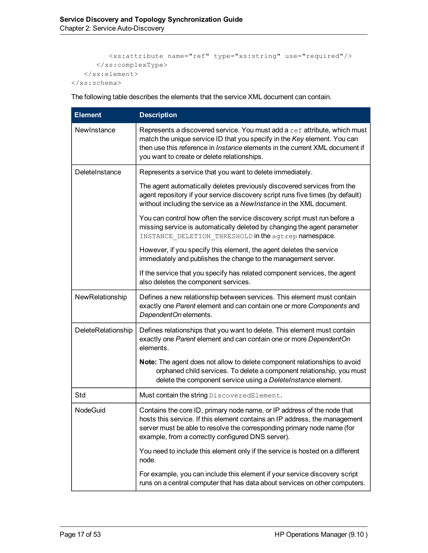```
<xs:attribute name="ref" type="xs:string" use="required"/>
     </xs:complexType>
   </xs:element>
</xs:schema>
```
The following table describes the elements that the service XML document can contain.

| <b>Element</b>     | <b>Description</b>                                                                                                                                                                                                                                                                         |  |  |  |  |
|--------------------|--------------------------------------------------------------------------------------------------------------------------------------------------------------------------------------------------------------------------------------------------------------------------------------------|--|--|--|--|
| NewInstance        | Represents a discovered service. You must add a ref attribute, which must<br>match the unique service ID that you specify in the Key element. You can<br>then use this reference in <i>Instance</i> elements in the current XML document if<br>you want to create or delete relationships. |  |  |  |  |
| DeleteInstance     | Represents a service that you want to delete immediately.                                                                                                                                                                                                                                  |  |  |  |  |
|                    | The agent automatically deletes previously discovered services from the<br>agent repository if your service discovery script runs five times (by default)<br>without including the service as a NewInstance in the XML document.                                                           |  |  |  |  |
|                    | You can control how often the service discovery script must run before a<br>missing service is automatically deleted by changing the agent parameter<br>INSTANCE DELETION THRESHOLD in the agtrep namespace.                                                                               |  |  |  |  |
|                    | However, if you specify this element, the agent deletes the service<br>immediately and publishes the change to the management server.                                                                                                                                                      |  |  |  |  |
|                    | If the service that you specify has related component services, the agent<br>also deletes the component services.                                                                                                                                                                          |  |  |  |  |
| NewRelationship    | Defines a new relationship between services. This element must contain<br>exactly one Parent element and can contain one or more Components and<br>DependentOn elements.                                                                                                                   |  |  |  |  |
| DeleteRelationship | Defines relationships that you want to delete. This element must contain<br>exactly one Parent element and can contain one or more DependentOn<br>elements.                                                                                                                                |  |  |  |  |
|                    | Note: The agent does not allow to delete component relationships to avoid<br>orphaned child services. To delete a component relationship, you must<br>delete the component service using a DeleteInstance element.                                                                         |  |  |  |  |
| Std                | Must contain the string DiscoveredElement.                                                                                                                                                                                                                                                 |  |  |  |  |
| <b>NodeGuid</b>    | Contains the core ID, primary node name, or IP address of the node that<br>hosts this service. If this element contains an IP address, the management<br>server must be able to resolve the corresponding primary node name (for<br>example, from a correctly configured DNS server).      |  |  |  |  |
|                    | You need to include this element only if the service is hosted on a different<br>node.                                                                                                                                                                                                     |  |  |  |  |
|                    | For example, you can include this element if your service discovery script<br>runs on a central computer that has data about services on other computers.                                                                                                                                  |  |  |  |  |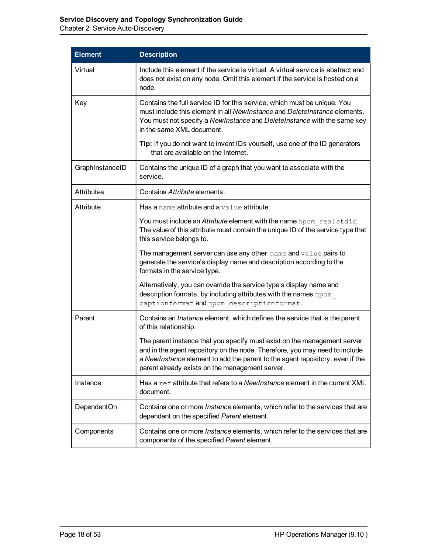Chapter 2: Service Auto-Discovery

| <b>Element</b>    | <b>Description</b>                                                                                                                                                                                                                                                                         |
|-------------------|--------------------------------------------------------------------------------------------------------------------------------------------------------------------------------------------------------------------------------------------------------------------------------------------|
| Virtual           | Include this element if the service is virtual. A virtual service is abstract and<br>does not exist on any node. Omit this element if the service is hosted on a<br>node.                                                                                                                  |
| Key               | Contains the full service ID for this service, which must be unique. You<br>must include this element in all New Instance and Delete Instance elements.<br>You must not specify a NewInstance and DeleteInstance with the same key<br>in the same XML document.                            |
|                   | Tip: If you do not want to invent IDs yourself, use one of the ID generators<br>that are available on the Internet.                                                                                                                                                                        |
| GraphInstanceID   | Contains the unique ID of a graph that you want to associate with the<br>service.                                                                                                                                                                                                          |
| <b>Attributes</b> | Contains Attribute elements.                                                                                                                                                                                                                                                               |
| Attribute         | Has a name attribute and a value attribute.                                                                                                                                                                                                                                                |
|                   | You must include an Attribute element with the name hpom realstdid.<br>The value of this attribute must contain the unique ID of the service type that<br>this service belongs to.                                                                                                         |
|                   | The management server can use any other name and value pairs to<br>generate the service's display name and description according to the<br>formats in the service type.                                                                                                                    |
|                   | Alternatively, you can override the service type's display name and<br>description formats, by including attributes with the names hpom<br>captionformat and hpom descriptionformat.                                                                                                       |
| Parent            | Contains an <i>Instance</i> element, which defines the service that is the parent<br>of this relationship.                                                                                                                                                                                 |
|                   | The parent instance that you specify must exist on the management server<br>and in the agent repository on the node. Therefore, you may need to include<br>a NewInstance element to add the parent to the agent repository, even if the<br>parent already exists on the management server. |
| Instance          | Has a ref attribute that refers to a New Instance element in the current XML<br>document.                                                                                                                                                                                                  |
| DependentOn       | Contains one or more <i>Instance</i> elements, which refer to the services that are<br>dependent on the specified Parent element.                                                                                                                                                          |
| Components        | Contains one or more <i>Instance</i> elements, which refer to the services that are<br>components of the specified Parent element.                                                                                                                                                         |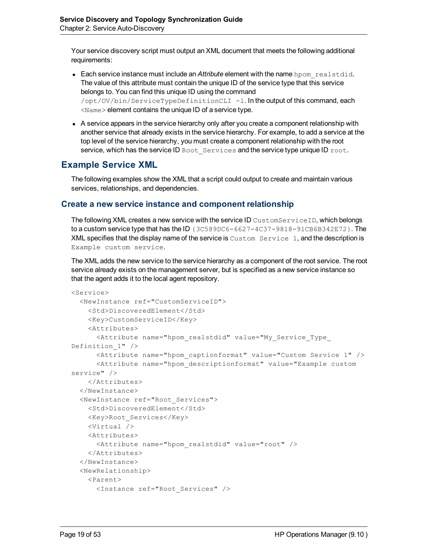Your service discovery script must output an XML document that meets the following additional requirements:

- **Each service instance must include an** *Attribute* **element with the name** hpom realstdid. The value of this attribute must contain the unique ID of the service type that this service belongs to. You can find this unique ID using the command /opt/OV/bin/ServiceTypeDefinitionCLI -l. In the output of this command, each  $\langle$ Name $\rangle$  element contains the unique ID of a service type.
- A service appears in the service hierarchy only after you create a component relationship with another service that already exists in the service hierarchy. For example, to add a service at the top level of the service hierarchy, you must create a component relationship with the root service, which has the service ID Root Services and the service type unique ID root.

## **Example Service XML**

The following examples show the XML that a script could output to create and maintain various services, relationships, and dependencies.

### **Create a new service instance and component relationship**

The following XML creates a new service with the service ID CustomServiceID, which belongs to a custom service type that has the ID {3C589DC6-6627-4C37-9818-91CB6B342E72}. The  $XML$  specifies that the display name of the service is  $Customer$  service 1, and the description is Example custom service.

The XML adds the new service to the service hierarchy as a component of the root service. The root service already exists on the management server, but is specified as a new service instance so that the agent adds it to the local agent repository.

```
<Service>
 <NewInstance ref="CustomServiceID">
   <Std>DiscoveredElement</Std>
   <Key>CustomServiceID</Key>
   <Attributes>
      <Attribute name="hpom_realstdid" value="My_Service_Type_
Definition_1" />
     <Attribute name="hpom_captionformat" value="Custom Service 1" />
      <Attribute name="hpom_descriptionformat" value="Example custom
service" />
   </Attributes>
  </NewInstance>
 <NewInstance ref="Root_Services">
   <Std>DiscoveredElement</Std>
   <Key>Root_Services</Key>
   <Virtual />
   <Attributes>
      <Attribute name="hpom_realstdid" value="root" />
    </Attributes>
  </NewInstance>
  <NewRelationship>
   <Parent>
      <Instance ref="Root_Services" />
```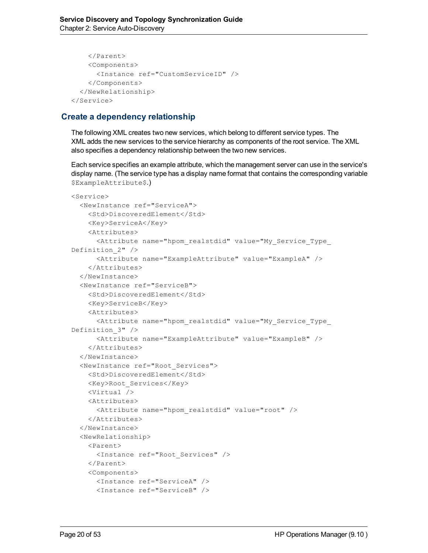```
</Parent>
    <Components>
      <Instance ref="CustomServiceID" />
    </Components>
  </NewRelationship>
</Service>
```
## **Create a dependency relationship**

The following XML creates two new services, which belong to different service types. The XML adds the new services to the service hierarchy as components of the root service. The XML also specifies a dependency relationship between the two new services.

Each service specifies an example attribute, which the management server can use in the service's display name. (The service type has a display name format that contains the corresponding variable \$ExampleAttribute\$.)

```
<Service>
 <NewInstance ref="ServiceA">
   <Std>DiscoveredElement</Std>
   <Key>ServiceA</Key>
   <Attributes>
      <Attribute name="hpom_realstdid" value="My_Service_Type_
Definition_2" />
      <Attribute name="ExampleAttribute" value="ExampleA" />
   </Attributes>
  </NewInstance>
 <NewInstance ref="ServiceB">
   <Std>DiscoveredElement</Std>
   <Key>ServiceB</Key>
   <Attributes>
      <Attribute name="hpom_realstdid" value="My_Service_Type_
Definition_3" />
      <Attribute name="ExampleAttribute" value="ExampleB" />
    </Attributes>
 </NewInstance>
 <NewInstance ref="Root_Services">
   <Std>DiscoveredElement</Std>
   <Key>Root_Services</Key>
   <Virtual />
   <Attributes>
      <Attribute name="hpom_realstdid" value="root" />
   </Attributes>
 </NewInstance>
  <NewRelationship>
    <Parent>
      <Instance ref="Root_Services" />
   </Parent>
   <Components>
     <Instance ref="ServiceA" />
      <Instance ref="ServiceB" />
```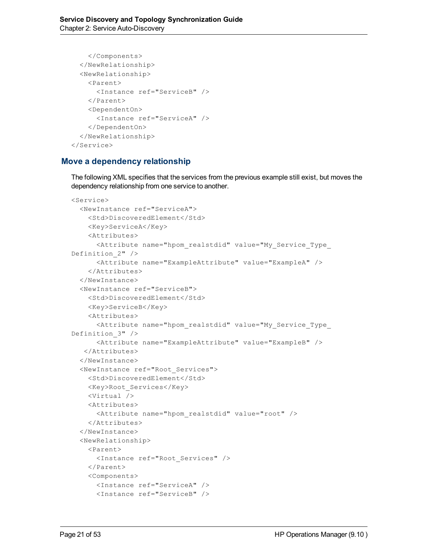```
</Components>
 </NewRelationship>
 <NewRelationship>
   <Parent>
      <Instance ref="ServiceB" />
    </Parent>
   <DependentOn>
      <Instance ref="ServiceA" />
    </DependentOn>
  </NewRelationship>
</Service>
```
### **Move a dependency relationship**

The following XML specifies that the services from the previous example still exist, but moves the dependency relationship from one service to another.

```
<Service>
 <NewInstance ref="ServiceA">
   <Std>DiscoveredElement</Std>
   <Key>ServiceA</Key>
   <Attributes>
     <Attribute name="hpom_realstdid" value="My_Service_Type_
Definition_2" />
      <Attribute name="ExampleAttribute" value="ExampleA" />
    </Attributes>
  </NewInstance>
 <NewInstance ref="ServiceB">
   <Std>DiscoveredElement</Std>
   <Key>ServiceB</Key>
   <Attributes>
      <Attribute name="hpom_realstdid" value="My_Service_Type_
Definition_3" />
      <Attribute name="ExampleAttribute" value="ExampleB" />
   </Attributes>
 </NewInstance>
 <NewInstance ref="Root_Services">
   <Std>DiscoveredElement</Std>
   <Key>Root_Services</Key>
   <Virtual />
   <Attributes>
      <Attribute name="hpom_realstdid" value="root" />
    </Attributes>
  </NewInstance>
  <NewRelationship>
   <Parent>
      <Instance ref="Root_Services" />
   </Parent>
   <Components>
     <Instance ref="ServiceA" />
      <Instance ref="ServiceB" />
```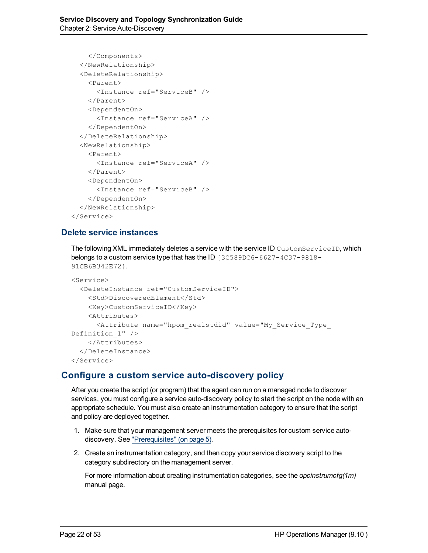```
</Components>
 </NewRelationship>
  <DeleteRelationship>
   <Parent>
      <Instance ref="ServiceB" />
    </Parent>
   <DependentOn>
      <Instance ref="ServiceA" />
    </DependentOn>
  </DeleteRelationship>
 <NewRelationship>
   <Parent>
     <Instance ref="ServiceA" />
    </Parent>
   <DependentOn>
     <Instance ref="ServiceB" />
    </DependentOn>
  </NewRelationship>
</Service>
```
## **Delete service instances**

The following XML immediately deletes a service with the service ID CustomServiceID, which belongs to a custom service type that has the ID {3C589DC6-6627-4C37-9818-91CB6B342E72}.

```
<Service>
 <DeleteInstance ref="CustomServiceID">
   <Std>DiscoveredElement</Std>
   <Key>CustomServiceID</Key>
   <Attributes>
     <Attribute name="hpom_realstdid" value="My_Service_Type_
Definition 1" />
    </Attributes>
 </DeleteInstance>
</Service>
```
## **Configure a custom service auto-discovery policy**

After you create the script (or program) that the agent can run on a managed node to discover services, you must configure a service auto-discovery policy to start the script on the node with an appropriate schedule. You must also create an instrumentation category to ensure that the script and policy are deployed together.

- 1. Make sure that your management server meets the prerequisites for custom service autodiscovery. See ["Prerequisites"](#page-4-1) [\(on](#page-4-1) [page](#page-4-1) [5\)](#page-4-1).
- 2. Create an instrumentation category, and then copy your service discovery script to the category subdirectory on the management server.

For more information about creating instrumentation categories, see the *opcinstrumcfg(1m)* manual page.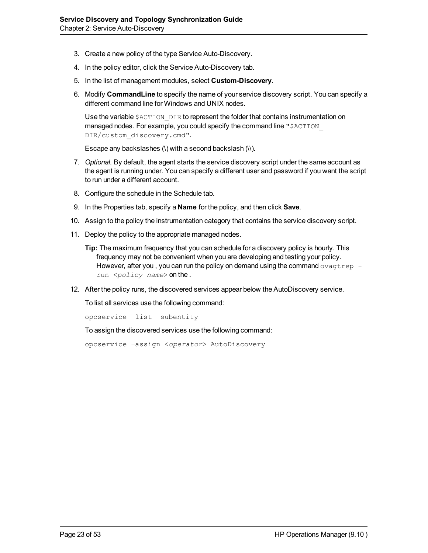- 3. Create a new policy of the type Service Auto-Discovery.
- 4. In the policy editor, click the Service Auto-Discovery tab.
- 5. In the list of management modules, select **Custom-Discovery**.
- 6. Modify **CommandLine** to specify the name of your service discovery script. You can specify a different command line for Windows and UNIX nodes.

Use the variable \$ACTION DIR to represent the folder that contains instrumentation on managed nodes. For example, you could specify the command line "\$ACTION DIR/custom\_discovery.cmd".

Escape any backslashes  $( \nabla )$  with a second backslash  $( \nabla )$ .

- 7. *Optional.* By default, the agent starts the service discovery script under the same account as the agent is running under. You can specify a different user and password if you want the script to run under a different account.
- 8. Configure the schedule in the Schedule tab.
- 9. In the Properties tab, specify a **Name** for the policy, and then click **Save**.
- 10. Assign to the policy the instrumentation category that contains the service discovery script.
- 11. Deploy the policy to the appropriate managed nodes.
	- **Tip:** The maximum frequency that you can schedule for a discovery policy is hourly. This frequency may not be convenient when you are developing and testing your policy. However, after you, you can run the policy on demand using the command  $\sigma$ vagtrep run <*policy name*> on the .
- 12. After the policy runs, the discovered services appear below the AutoDiscovery service.

To list all services use the following command:

```
opcservice –list –subentity
```
To assign the discovered services use the following command:

opcservice –assign <*operator*> AutoDiscovery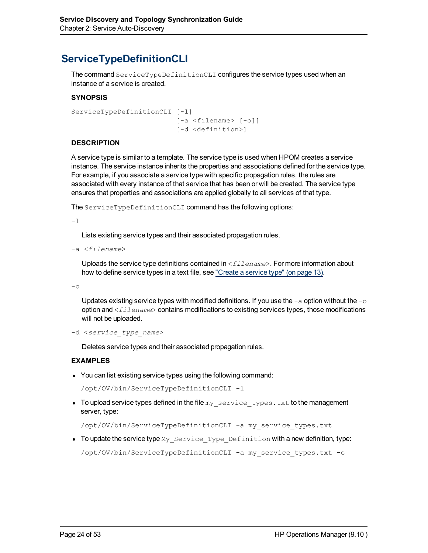# <span id="page-23-0"></span>**ServiceTypeDefinitionCLI**

The command ServiceTypeDefinitionCLI configures the service types used when an instance of a service is created.

#### **SYNOPSIS**

```
ServiceTypeDefinitionCLI [-l]
                                                                   [-a <filename> [-o]]
                                                                   [-d <definition>]
```
#### **DESCRIPTION**

A service type is similar to a template. The service type is used when HPOM creates a service instance. The service instance inherits the properties and associations defined for the service type. For example, if you associate a service type with specific propagation rules, the rules are associated with every instance of that service that has been or will be created. The service type ensures that properties and associations are applied globally to all services of that type.

The ServiceTypeDefinitionCLI command has the following options:

-l

Lists existing service types and their associated propagation rules.

-a <*filename*>

Uploads the service type definitions contained in <*filename*>. For more information about how to define service types in a text file, see ["Create](#page-12-2) [a](#page-12-2) [service](#page-12-2) [type"](#page-12-2) [\(on](#page-12-2) [page](#page-12-2) [13\)](#page-12-2).

 $-\circ$ 

Updates existing service types with modified definitions. If you use the  $-a$  option without the  $-a$ option and <*filename*> contains modifications to existing services types, those modifications will not be uploaded.

-d <*service\_type\_name*>

Deletes service types and their associated propagation rules.

#### **EXAMPLES**

• You can list existing service types using the following command:

/opt/OV/bin/ServiceTypeDefinitionCLI -l

• To upload service types defined in the file my service types.txt to the management server, type:

/opt/OV/bin/ServiceTypeDefinitionCLI -a my\_service\_types.txt

• To update the service type  $My$  service Type Definition with a new definition, type:

/opt/OV/bin/ServiceTypeDefinitionCLI -a my\_service\_types.txt -o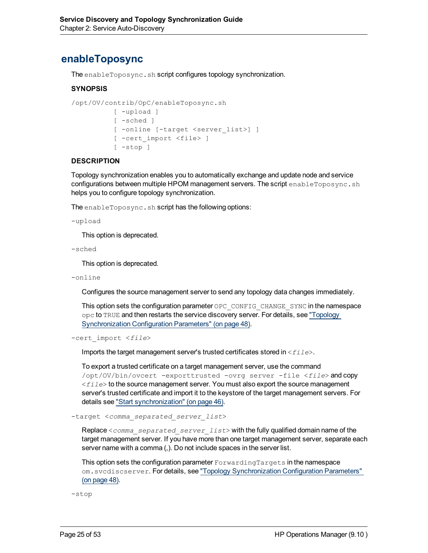# <span id="page-24-0"></span>**enableToposync**

The enableToposync.sh script configures topology synchronization.

#### **SYNOPSIS**

```
/opt/OV/contrib/OpC/enableToposync.sh
                       [ -upload ]
                       [ -sched ]
                       [ -online [-target <server_list>] ]
                       [ -cert_import <file> ]
             [ -stop ]
```
#### **DESCRIPTION**

Topology synchronization enables you to automatically exchange and update node and service configurations between multiple HPOM management servers. The script enableToposync.sh helps you to configure topology synchronization.

The enableToposync.sh script has the following options:

```
-upload
```
This option is deprecated.

```
-sched
```
This option is deprecated.

-online

Configures the source management server to send any topology data changes immediately.

This option sets the configuration parameter OPC CONFIG CHANGE SYNC in the namespace opc to TRUE and then restarts the service discovery server. For details, see ["Topology](#page-47-1) [Synchronization](#page-47-1) [Configuration](#page-47-1) [Parameters"](#page-47-1) [\(on](#page-47-1) [page](#page-47-1) [48\).](#page-47-1)

```
-cert_import <file>
```
Imports the target management server's trusted certificates stored in <*file*>.

To export a trusted certificate on a target management server, use the command /opt/OV/bin/ovcert -exporttrusted -ovrg server -file <*file*> and copy <*file*> to the source management server. You must also export the source management server's trusted certificate and import it to the keystore of the target management servers. For details see ["Start](#page-45-1) [synchronization"](#page-45-1) [\(on](#page-45-1) [page](#page-45-1) [46\).](#page-45-1)

-target <*comma\_separated\_server\_list*>

Replace <*comma\_separated\_server\_list*> with the fully qualified domain name of the target management server. If you have more than one target management server, separate each server name with a comma (,). Do not include spaces in the server list.

This option sets the configuration parameter ForwardingTargets in the namespace om.svcdiscserver. For details, see ["Topology](#page-47-1) [Synchronization](#page-47-1) [Configuration](#page-47-1) [Parameters"](#page-47-1) [\(on](#page-47-1) [page](#page-47-1) [48\).](#page-47-1)

-stop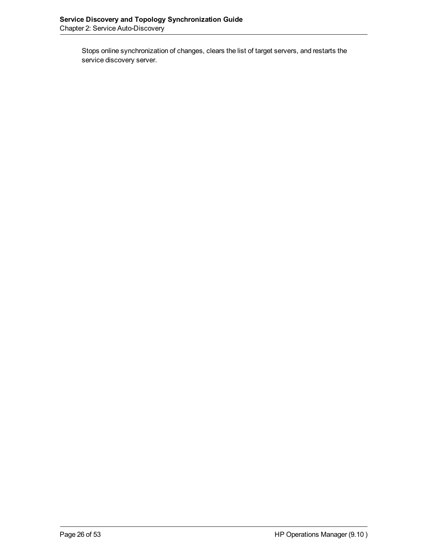Stops online synchronization of changes, clears the list of target servers, and restarts the service discovery server.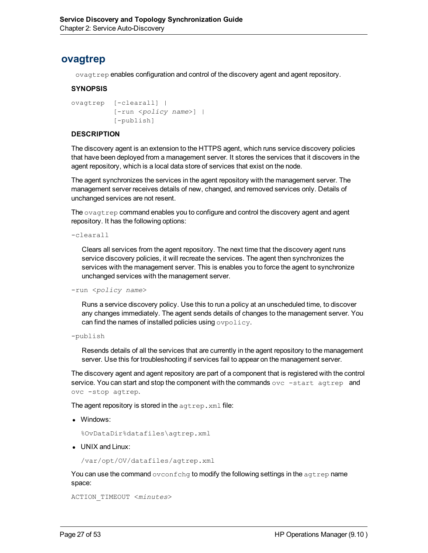# <span id="page-26-0"></span>**ovagtrep**

ovagtrep enables configuration and control of the discovery agent and agent repository.

#### **SYNOPSIS**

```
ovagtrep  [-clearall] |
                       [-run <policy name>] |
                       [-publish]
```
#### **DESCRIPTION**

The discovery agent is an extension to the HTTPS agent, which runs service discovery policies that have been deployed from a management server. It stores the services that it discovers in the agent repository, which is a local data store of services that exist on the node.

The agent synchronizes the services in the agent repository with the management server. The management server receives details of new, changed, and removed services only. Details of unchanged services are not resent.

The  $\alpha$  agtrep command enables you to configure and control the discovery agent and agent repository. It has the following options:

-clearall

Clears all services from the agent repository. The next time that the discovery agent runs service discovery policies, it will recreate the services. The agent then synchronizes the services with the management server. This is enables you to force the agent to synchronize unchanged services with the management server.

-run <*policy name*>

Runs a service discovery policy. Use this to run a policy at an unscheduled time, to discover any changes immediately. The agent sends details of changes to the management server. You can find the names of installed policies using ovpolicy.

```
-publish
```
Resends details of all the services that are currently in the agent repository to the management server. Use this for troubleshooting if services fail to appear on the management server.

The discovery agent and agent repository are part of a component that is registered with the control service. You can start and stop the component with the commands  $\sigma v c - \text{start}$  agtrep and ovc -stop agtrep.

The agent repository is stored in the  $a$ gtrep. xml file:

• Windows:

```
%OvDataDir%datafiles\agtrep.xml
```
• UNIX and Linux:

/var/opt/OV/datafiles/agtrep.xml

You can use the command ovconfchg to modify the following settings in the  $a<sub>g</sub>$ trep name space:

ACTION\_TIMEOUT <*minutes*>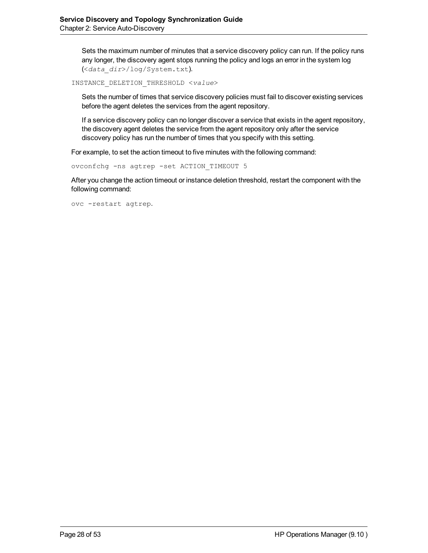Sets the maximum number of minutes that a service discovery policy can run. If the policy runs any longer, the discovery agent stops running the policy and logs an error in the system log (<*data\_dir*>/log/System.txt).

INSTANCE\_DELETION\_THRESHOLD <*value*>

Sets the number of times that service discovery policies must fail to discover existing services before the agent deletes the services from the agent repository.

If a service discovery policy can no longer discover a service that exists in the agent repository, the discovery agent deletes the service from the agent repository only after the service discovery policy has run the number of times that you specify with this setting.

For example, to set the action timeout to five minutes with the following command:

ovconfchg -ns agtrep -set ACTION\_TIMEOUT 5

After you change the action timeout or instance deletion threshold, restart the component with the following command:

ovc -restart agtrep.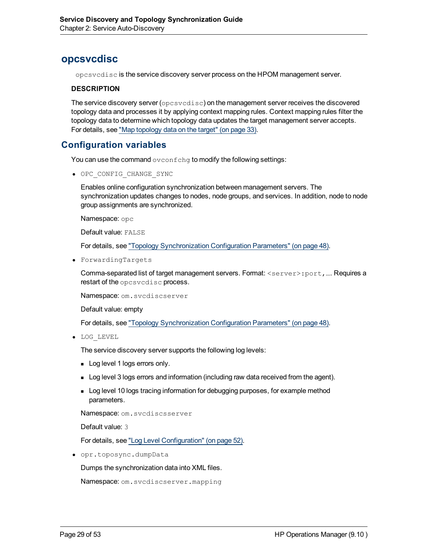# <span id="page-28-0"></span>**opcsvcdisc**

opcsvcdisc is the service discovery server process on the HPOM management server.

#### **DESCRIPTION**

The service discovery server (opcsvcdisc) on the management server receives the discovered topology data and processes it by applying context mapping rules. Context mapping rules filter the topology data to determine which topology data updates the target management server accepts. For details, see ["Map](#page-32-0) [topology](#page-32-0) [data](#page-32-0) [on](#page-32-0) [the](#page-32-0) [target"](#page-32-0) [\(on](#page-32-0) [page](#page-32-0) [33\).](#page-32-0)

## **Configuration variables**

You can use the command ovconfchg to modify the following settings:

 $\bullet$  OPC CONFIG CHANGE SYNC

Enables online configuration synchronization between management servers. The synchronization updates changes to nodes, node groups, and services. In addition, node to node group assignments are synchronized.

Namespace: opc

Default value: FALSE

For details, see ["Topology](#page-47-1) [Synchronization](#page-47-1) [Configuration](#page-47-1) [Parameters"](#page-47-1) [\(on](#page-47-1) [page](#page-47-1) [48\)](#page-47-1).

<sup>l</sup> ForwardingTargets

Comma-separated list of target management servers. Format: <server>:port,…. Requires a restart of the opcsvcdisc process.

Namespace: om. svcdiscserver

Default value: empty

For details, see ["Topology](#page-47-1) [Synchronization](#page-47-1) [Configuration](#page-47-1) [Parameters"](#page-47-1) [\(on](#page-47-1) [page](#page-47-1) [48\)](#page-47-1).

• LOG LEVEL

The service discovery server supports the following log levels:

- **Log level 1 logs errors only.**
- **Log level 3 logs errors and information (including raw data received from the agent).**
- **EXECT** Log level 10 logs tracing information for debugging purposes, for example method parameters.

Namespace: om. svcdiscsserver

Default value: 3

For details, see ["Log](#page-51-0) [Level](#page-51-0) [Configuration"](#page-51-0) [\(on](#page-51-0) [page](#page-51-0) [52\)](#page-51-0).

<sup>l</sup> opr.toposync.dumpData

Dumps the synchronization data into XML files.

```
Namespace: om. svcdiscserver. mapping
```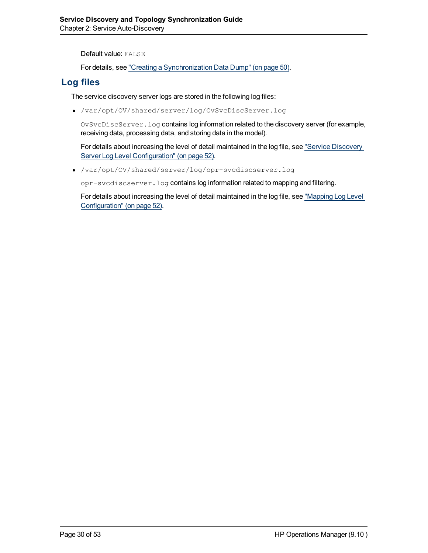Default value: FALSE

For details, see ["Creating](#page-49-0) [a](#page-49-0) [Synchronization](#page-49-0) [Data](#page-49-0) [Dump"](#page-49-0) [\(on](#page-49-0) [page](#page-49-0) [50\)](#page-49-0).

## **Log files**

The service discovery server logs are stored in the following log files:

<sup>l</sup> /var/opt/OV/shared/server/log/OvSvcDiscServer.log

OvSvcDiscServer.log contains log information related to the discovery server (for example, receiving data, processing data, and storing data in the model).

For details about increasing the level of detail maintained in the log file, see ["Service](#page-51-1) [Discovery](#page-51-1) [Server](#page-51-1) [Log](#page-51-1) [Level](#page-51-1) [Configuration"](#page-51-1) [\(on](#page-51-1) [page](#page-51-1) [52\)](#page-51-1).

<sup>l</sup> /var/opt/OV/shared/server/log/opr-svcdiscserver.log

opr-svcdiscserver.log contains log information related to mapping and filtering.

For details about increasing the level of detail maintained in the log file, see ["Mapping](#page-51-2) [Log](#page-51-2) [Level](#page-51-2) [Configuration"](#page-51-2) [\(on](#page-51-2) [page](#page-51-2) [52\).](#page-51-2)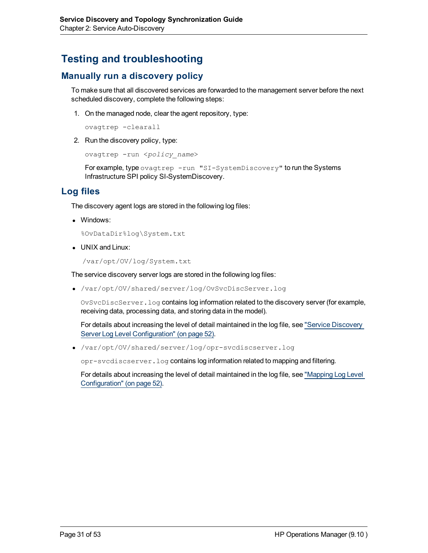# <span id="page-30-0"></span>**Testing and troubleshooting**

# **Manually run a discovery policy**

To make sure that all discovered services are forwarded to the management server before the next scheduled discovery, complete the following steps:

1. On the managed node, clear the agent repository, type:

ovagtrep -clearall

2. Run the discovery policy, type:

```
ovagtrep -run <policy_name>
```
For example, type ovagtrep -run "SI-SystemDiscovery" to run the Systems Infrastructure SPI policy SI-SystemDiscovery.

## **Log files**

The discovery agent logs are stored in the following log files:

• Windows:

%OvDataDir%log\System.txt

• UNIX and Linux:

/var/opt/OV/log/System.txt

The service discovery server logs are stored in the following log files:

<sup>l</sup> /var/opt/OV/shared/server/log/OvSvcDiscServer.log

OvSvcDiscServer.log contains log information related to the discovery server (for example, receiving data, processing data, and storing data in the model).

For details about increasing the level of detail maintained in the log file, see ["Service](#page-51-1) [Discovery](#page-51-1) [Server](#page-51-1) [Log](#page-51-1) [Level](#page-51-1) [Configuration"](#page-51-1) [\(on](#page-51-1) [page](#page-51-1) [52\)](#page-51-1).

<sup>l</sup> /var/opt/OV/shared/server/log/opr-svcdiscserver.log

opr-svcdiscserver.log contains log information related to mapping and filtering.

For details about increasing the level of detail maintained in the log file, see ["Mapping](#page-51-2) [Log](#page-51-2) [Level](#page-51-2) [Configuration"](#page-51-2) [\(on](#page-51-2) [page](#page-51-2) [52\).](#page-51-2)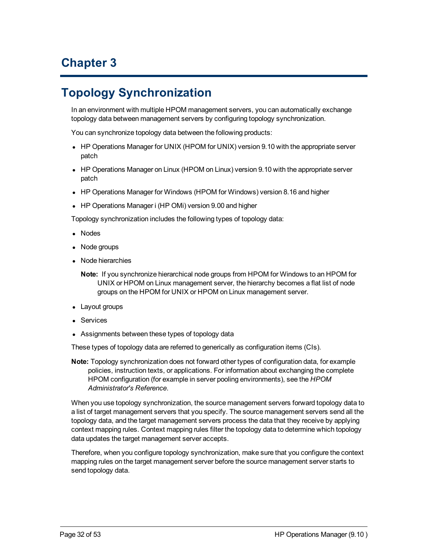# **Chapter 3**

# <span id="page-31-0"></span>**Topology Synchronization**

In an environment with multiple HPOM management servers, you can automatically exchange topology data between management servers by configuring topology synchronization.

You can synchronize topology data between the following products:

- HP Operations Manager for UNIX (HPOM for UNIX) version 9.10 with the appropriate server patch
- HP Operations Manager on Linux (HPOM on Linux) version 9.10 with the appropriate server patch
- HP Operations Manager for Windows (HPOM for Windows) version 8.16 and higher
- HP Operations Manager i (HP OMi) version 9.00 and higher

Topology synchronization includes the following types of topology data:

- Nodes
- Node groups
- Node hierarchies

**Note:** If you synchronize hierarchical node groups from HPOM for Windows to an HPOM for UNIX or HPOM on Linux management server, the hierarchy becomes a flat list of node groups on the HPOM for UNIX or HPOM on Linux management server.

- Layout groups
- Services
- Assignments between these types of topology data

These types of topology data are referred to generically as configuration items (CIs).

**Note:** Topology synchronization does not forward other types of configuration data, for example policies, instruction texts, or applications. For information about exchanging the complete HPOM configuration (for example in server pooling environments), see the *HPOM Administrator's Reference*.

When you use topology synchronization, the source management servers forward topology data to a list of target management servers that you specify. The source management servers send all the topology data, and the target management servers process the data that they receive by applying context mapping rules. Context mapping rules filter the topology data to determine which topology data updates the target management server accepts.

Therefore, when you configure topology synchronization, make sure that you configure the context mapping rules on the target management server before the source management server starts to send topology data.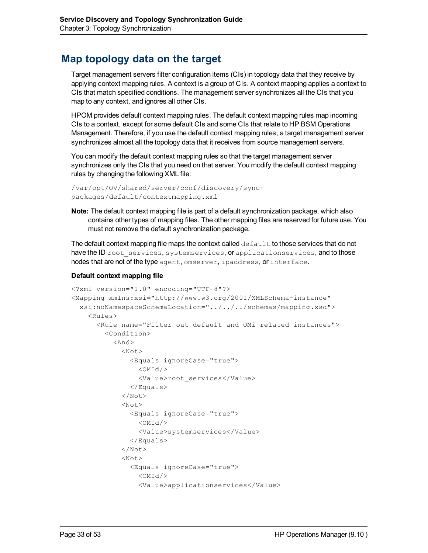# <span id="page-32-0"></span>**Map topology data on the target**

Target management servers filter configuration items (CIs) in topology data that they receive by applying context mapping rules. A context is a group of CIs. A context mapping applies a context to CIs that match specified conditions. The management server synchronizes all the CIs that you map to any context, and ignores all other CIs.

HPOM provides default context mapping rules. The default context mapping rules map incoming CIs to a context, except for some default CIs and some CIs that relate to HP BSM Operations Management. Therefore, if you use the default context mapping rules, a target management server synchronizes almost all the topology data that it receives from source management servers.

You can modify the default context mapping rules so that the target management server synchronizes only the CIs that you need on that server. You modify the default context mapping rules by changing the following XML file:

```
/var/opt/OV/shared/server/conf/discovery/sync-
packages/default/contextmapping.xml
```
**Note:** The default context mapping file is part of a default synchronization package, which also contains other types of mapping files. The other mapping files are reserved for future use. You must not remove the default synchronization package.

The default context mapping file maps the context called  $\det \det$  to those services that do not have the ID root services, systemservices, or applicationservices, and to those nodes that are not of the type agent, omserver, ipaddress, or interface.

#### **Default context mapping file**

```
<?xml version="1.0" encoding="UTF-8"?>
<Mapping xmlns:xsi="http://www.w3.org/2001/XMLSchema-instance"
  xsi:noNamespaceSchemaLocation="../../../schemas/mapping.xsd">
    <Rules>
      <Rule name="Filter out default and OMi related instances">
        <Condition>
          <And>
            <Not>
              <Equals ignoreCase="true">
                < \land \land \land<Value>root_services</Value>
              </Equals>
            </Not>
            <Not><Equals ignoreCase="true">
                < \land \land \land<Value>systemservices</Value>
              </Equals>
            </Not>
            <Not><Equals ignoreCase="true">
                <OMId/>
                 <Value>applicationservices</Value>
```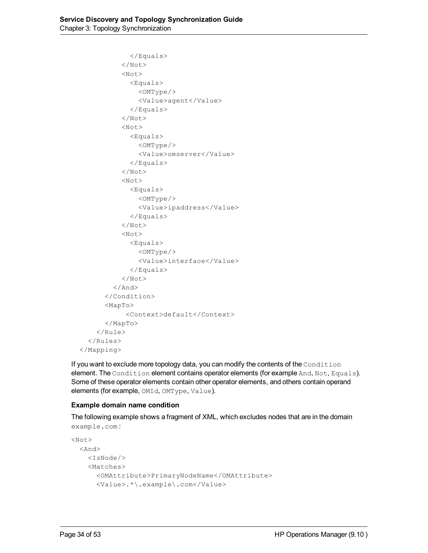```
</Equals>
           </Not><Not>
             <Equals>
               <OMType/>
               <Value>agent</Value>
             </Equals>
           \langle/Not>
           <Not>
             <Equals>
               <OMType/>
               <Value>omserver</Value>
             </Equals>
           \langle/Not>
           <Not>
             <Equals>
               <OMType/>
               <Value>ipaddress</Value>
             </Equals>
           </Not>
           <Not>
             <Equals>
               <OMType/>
               <Value>interface</Value>
             </Equals>
           \langle/Not>
        \langle And\rangle</Condition>
      <MapTo>
            <Context>default</Context>
      </MapTo></Rule>
  </Rules>
</Mapping>
```
If you want to exclude more topology data, you can modify the contents of the Condition element. The Condition element contains operator elements (for example And, Not, Equals). Some of these operator elements contain other operator elements, and others contain operand elements (for example, OMId, OMType, Value).

#### **Example domain name condition**

The following example shows a fragment of XML, which excludes nodes that are in the domain example.com :

```
<Not><And>
    <IsNode/>
        <Matches>
      <OMAttribute>PrimaryNodeName</OMAttribute>
      <Value>.*\.example\.com</Value>
```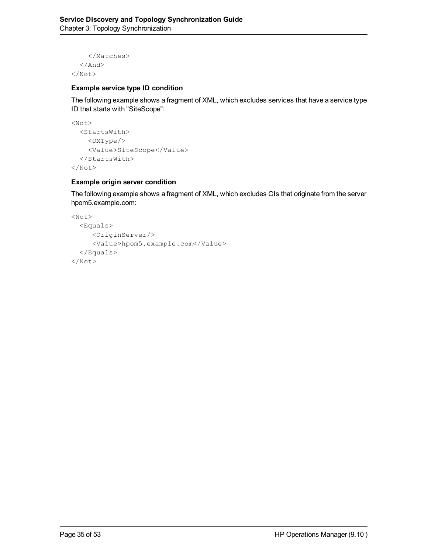```
</Matches>
   \langle / And\rangle</Not>
```
#### **Example service type ID condition**

The following example shows a fragment of XML, which excludes services that have a service type ID that starts with "SiteScope":

```
<Not>
  <StartsWith>
    <OMType/>
    <Value>SiteScope</Value>
  </StartsWith>
\langle/Not\rangle
```
#### **Example origin server condition**

The following example shows a fragment of XML, which excludes CIs that originate from the server hpom5.example.com:

```
<Not>
  <Equals>
     <OriginServer/>
     <Value>hpom5.example.com</Value>
  </Equals>
\langle/Not>
```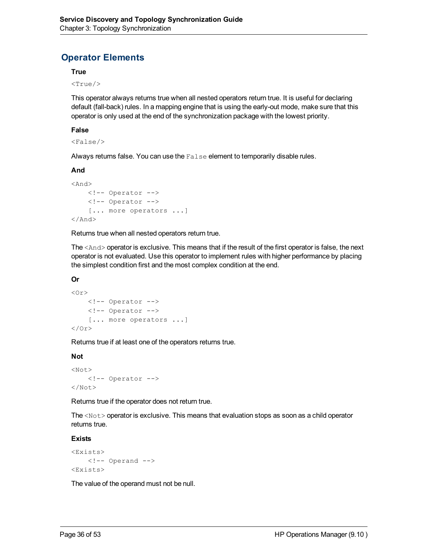# **Operator Elements**

#### **True**

 $<$ True $/$ 

This operator always returns true when all nested operators return true. It is useful for declaring default (fall-back) rules. In a mapping engine that is using the early-out mode, make sure that this operator is only used at the end of the synchronization package with the lowest priority.

#### **False**

<False/>

Always returns false. You can use the False element to temporarily disable rules.

#### **And**

```
<And>
    <!-- Operator -->
    <!-- Operator -->
    [... more operators ...]
\langle And\rangle
```
Returns true when all nested operators return true.

The <And> operator is exclusive. This means that if the result of the first operator is false, the next operator is not evaluated. Use this operator to implement rules with higher performance by placing the simplest condition first and the most complex condition at the end.

#### **Or**

```
<Or><!-- Operator -->
    <!-- Operator -->
    [... more operators ...]
\langle/Or>
```
Returns true if at least one of the operators returns true.

#### **Not**

```
<Not><!-- Operator -->
</Not>
```
Returns true if the operator does not return true.

The  $\langle \text{Not} \rangle$  operator is exclusive. This means that evaluation stops as soon as a child operator returns true.

#### **Exists**

```
<Exists>
    \langle !-- Operand -->
<Exists>
```
The value of the operand must not be null.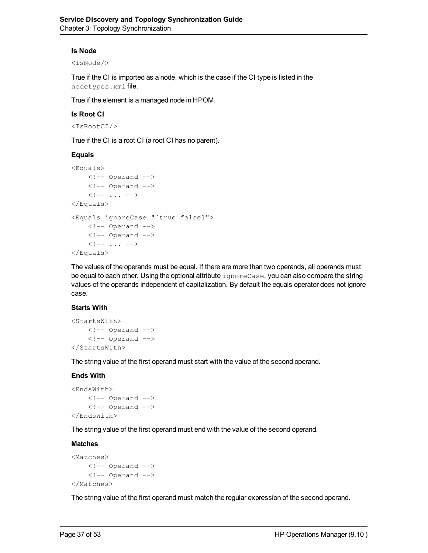#### **Is Node**

<IsNode/>

True if the CI is imported as a node, which is the case if the CI type is listed in the nodetypes.xml file.

True if the element is a managed node in HPOM.

#### **Is Root CI**

<IsRootCI/>

True if the CI is a root CI (a root CI has no parent).

#### **Equals**

```
<Equals>
      \langle !-- Operand -->
      \langle!-- Operand -->
      \langle \cdot | -- \cdot . . . \cdot -- \rangle</Equals>
<Equals ignoreCase="[true|false]">
      \langle !-- Operand -->
      \langle!-- Operand -->
      \langle \cdot | -- \cdot . . . \cdot -- \rangle</Equals>
```
The values of the operands must be equal. If there are more than two operands, all operands must be equal to each other. Using the optional attribute ignoreCase, you can also compare the string values of the operands independent of capitalization. By default the equals operator does not ignore case.

#### **Starts With**

```
<StartsWith>
    \langle!-- Operand -->
    \langle!-- Operand -->
</StartsWith>
```
The string value of the first operand must start with the value of the second operand.

#### **Ends With**

```
<EndsWith>
    \langle !-- Operand -->
    \langle !-- Operand -->
</EndsWith>
```
The string value of the first operand must end with the value of the second operand.

#### **Matches**

```
<Matches>
    \langle!-- Operand -->
     \langle !-- Operand -->
</Matches>
```
The string value of the first operand must match the regular expression of the second operand.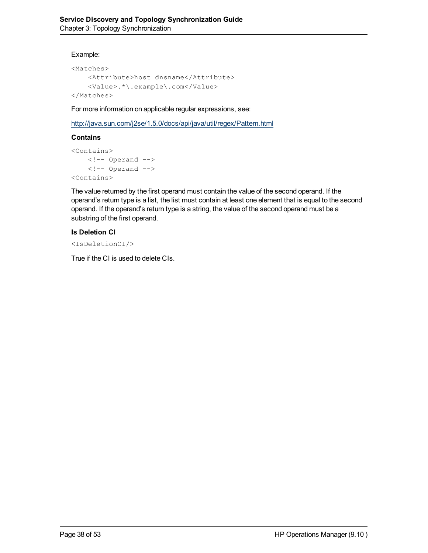#### Example:

```
<Matches>
    <Attribute>host_dnsname</Attribute>
    <Value>.*\.example\.com</Value>
</Matches>
```
For more information on applicable regular expressions, see:

<http://java.sun.com/j2se/1.5.0/docs/api/java/util/regex/Pattern.html>

#### **Contains**

```
<Contains>
    \langle !-- Operand -->
    \langle !-- Operand -->
<Contains>
```
The value returned by the first operand must contain the value of the second operand. If the operand's return type is a list, the list must contain at least one element that is equal to the second operand. If the operand's return type is a string, the value of the second operand must be a substring of the first operand.

#### **Is Deletion CI**

```
<IsDeletionCI/>
```
True if the CI is used to delete CIs.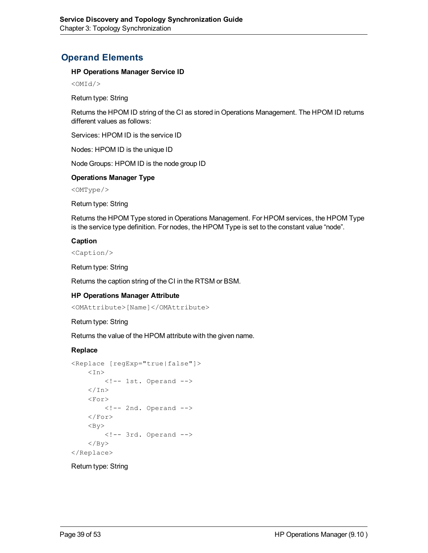# **Operand Elements**

#### **HP Operations Manager Service ID**

 $<$ OMI $d$ />

Return type: String

Returns the HPOM ID string of the CI as stored in Operations Management. The HPOM ID returns different values as follows:

Services: HPOM ID is the service ID

Nodes: HPOM ID is the unique ID

Node Groups: HPOM ID is the node group ID

#### **Operations Manager Type**

<OMType/>

Return type: String

Returns the HPOM Type stored in Operations Management. For HPOM services, the HPOM Type is the service type definition. For nodes, the HPOM Type is set to the constant value "node".

#### **Caption**

<Caption/>

Return type: String

Returns the caption string of the CI in the RTSM or BSM.

#### **HP Operations Manager Attribute**

<OMAttribute>[Name]</OMAttribute>

#### Return type: String

Returns the value of the HPOM attribute with the given name.

#### **Replace**

```
<Replace [regExp="true|false"]>
     <In>\langle!-- 1st. Operand -->
     \langle/In\rangle<For>\langle!-- 2nd. Operand -->
     \langle/For\rangle<By>
          \langle !-- 3rd. Operand -->
     \langle/By>
</Replace>
```
#### Return type: String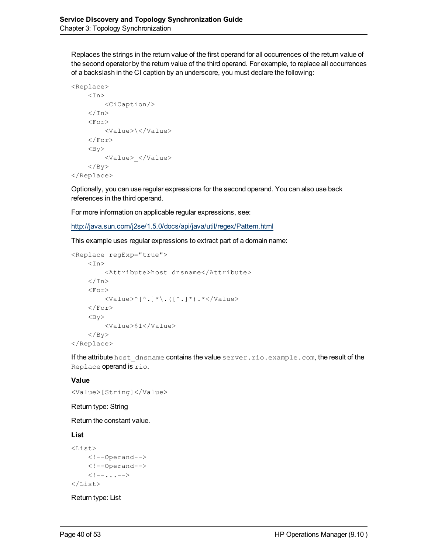Replaces the strings in the return value of the first operand for all occurrences of the return value of the second operator by the return value of the third operand. For example, to replace all occurrences of a backslash in the CI caption by an underscore, you must declare the following:

```
<Replace>
     <In>        <CiCaption/>
     \langle/In\rangle<For>        <Value>\</Value>
      \langleFor\rangle<By>
                    <Value>_</Value>
      \langle/By>
</Replace>
```
Optionally, you can use regular expressions for the second operand. You can also use back references in the third operand.

For more information on applicable regular expressions, see:

<http://java.sun.com/j2se/1.5.0/docs/api/java/util/regex/Pattern.html>

This example uses regular expressions to extract part of a domain name:

```
<Replace regExp="true">
    <In>        <Attribute>host_dnsname</Attribute>
    \langle/In>
     <For>        <Value>^[^.]*\.([^.]*).*</Value>
     \langleFor>
    <By>
                  <Value>$1</Value>
     \langle/By>
</Replace>
```
If the attribute host dnsname contains the value server.rio.example.com, the result of the Replace operand is rio.

#### **Value**

```
<Value>[String]</Value>
```
#### Return type: String

Return the constant value.

#### **List**

```
<List>
    <!--Operand-->
    <!--Operand-->
    \langle!--...-->
\langleList>
```
Return type: List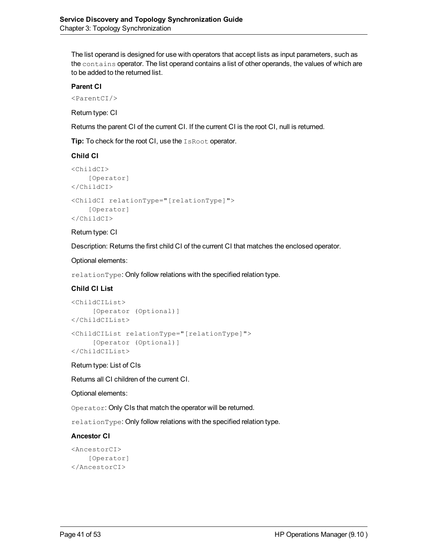The list operand is designed for use with operators that accept lists as input parameters, such as the contains operator. The list operand contains a list of other operands, the values of which are to be added to the returned list.

#### **Parent CI**

<ParentCI/>

Return type: CI

Returns the parent CI of the current CI. If the current CI is the root CI, null is returned.

**Tip:** To check for the root CI, use the IsRoot operator.

#### **Child CI**

```
<ChildCI>
    [Operator]
</ChildCI>
<ChildCI relationType="[relationType]">
    [Operator]
</ChildCI>
```
#### Return type: CI

Description: Returns the first child CI of the current CI that matches the enclosed operator.

#### Optional elements:

relationType: Only follow relations with the specified relation type.

#### **Child CI List**

```
<ChildCIList>
     [Operator (Optional)]
</ChildCIList>
<ChildCIList relationType="[relationType]">
     [Operator (Optional)]
</ChildCIList>
```
Return type: List of CIs

Returns all CI children of the current CI.

#### Optional elements:

Operator: Only CIs that match the operator will be returned.

relationType: Only follow relations with the specified relation type.

#### **Ancestor CI**

```
<AncestorCI>
    [Operator]
</AncestorCI>
```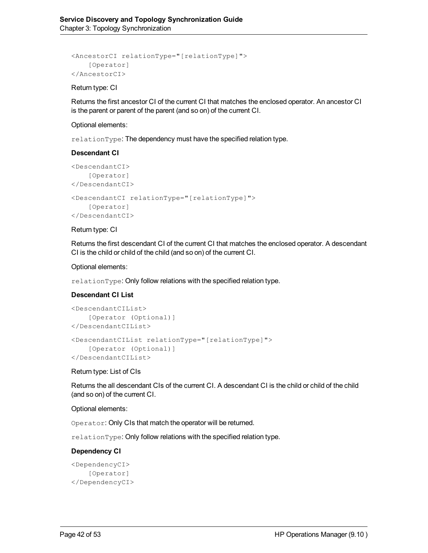```
<AncestorCI relationType="[relationType]">
    [Operator]
</AncestorCI>
```
#### Return type: CI

Returns the first ancestor CI of the current CI that matches the enclosed operator. An ancestor CI is the parent or parent of the parent (and so on) of the current CI.

#### Optional elements:

relationType: The dependency must have the specified relation type.

#### **Descendant CI**

```
<DescendantCI>
    [Operator]
</DescendantCI>
<DescendantCI relationType="[relationType]">
    [Operator]
</DescendantCI>
```
#### Return type: CI

Returns the first descendant CI of the current CI that matches the enclosed operator. A descendant CI is the child or child of the child (and so on) of the current CI.

#### Optional elements:

relationType: Only follow relations with the specified relation type.

#### **Descendant CI List**

```
<DescendantCIList>
    [Operator (Optional)]
</DescendantCIList>
<DescendantCIList relationType="[relationType]">
    [Operator (Optional)]
</DescendantCIList>
```
Return type: List of CIs

Returns the all descendant CIs of the current CI. A descendant CI is the child or child of the child (and so on) of the current CI.

#### Optional elements:

Operator: Only CIs that match the operator will be returned.

relationType: Only follow relations with the specified relation type.

#### **Dependency CI**

```
<DependencyCI>
    [Operator]
</DependencyCI>
```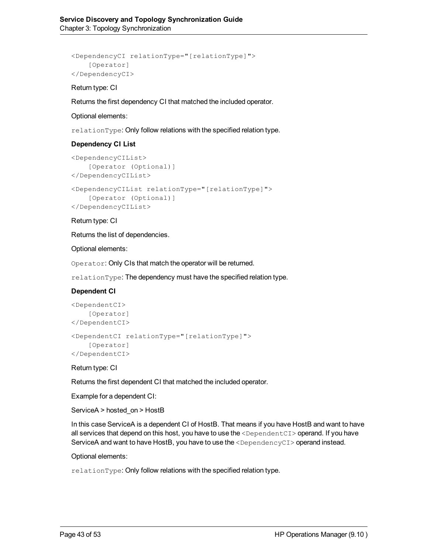```
<DependencyCI relationType="[relationType]">
    [Operator]
</DependencyCI>
```
#### Return type: CI

Returns the first dependency CI that matched the included operator.

#### Optional elements:

relationType: Only follow relations with the specified relation type.

#### **Dependency CI List**

```
<DependencyCIList>
    [Operator (Optional)]
</DependencyCIList>
<DependencyCIList relationType="[relationType]">
    [Operator (Optional)]
</DependencyCIList>
```
#### Return type: CI

Returns the list of dependencies.

Optional elements:

Operator: Only CIs that match the operator will be returned.

relationType: The dependency must have the specified relation type.

#### **Dependent CI**

```
<DependentCI>
    [Operator]
</DependentCI>
<DependentCI relationType="[relationType]">
    [Operator]
</DependentCI>
```
#### Return type: CI

Returns the first dependent CI that matched the included operator.

Example for a dependent CI:

ServiceA > hosted\_on > HostB

In this case ServiceA is a dependent CI of HostB. That means if you have HostB and want to have all services that depend on this host, you have to use the <DependentCI> operand. If you have ServiceA and want to have HostB, you have to use the <DependencyCI> operand instead.

Optional elements:

relationType: Only follow relations with the specified relation type.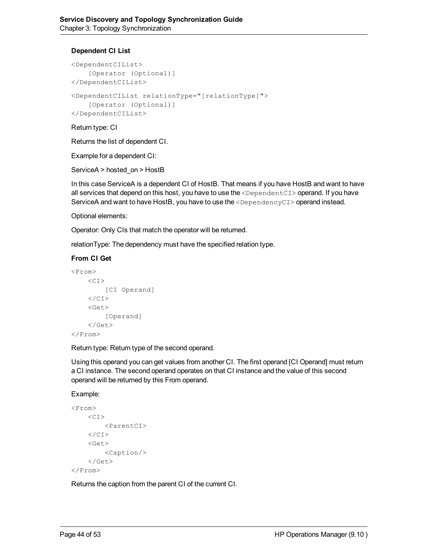#### **Dependent CI List**

```
<DependentCIList>
    [Operator (Optional)]
</DependentCIList>
<DependentCIList relationType="[relationType]">
    [Operator (Optional)]
</DependentCIList>
```
Return type: CI

Returns the list of dependent CI.

Example for a dependent CI:

ServiceA > hosted\_on > HostB

In this case ServiceA is a dependent CI of HostB. That means if you have HostB and want to have all services that depend on this host, you have to use the <DependentCI> operand. If you have ServiceA and want to have HostB, you have to use the <DependencyCI> operand instead.

Optional elements:

Operator: Only CIs that match the operator will be returned.

relationType: The dependency must have the specified relation type.

#### **From CI Get**

```
<From>
     <CI>[CI Operand]
     \langle/CI>
     <Get>
          [Operand]
     \langle/Get\rangle</From>
```
Return type: Return type of the second operand.

Using this operand you can get values from another CI. The first operand [CI Operand] must return a CI instance. The second operand operates on that CI instance and the value of this second operand will be returned by this From operand.

Example:

```
<From>
    <CI><ParentCI>
    \langle/CI><Get>
         <Caption/>
    \langle/Get>
</From>
```
Returns the caption from the parent CI of the current CI.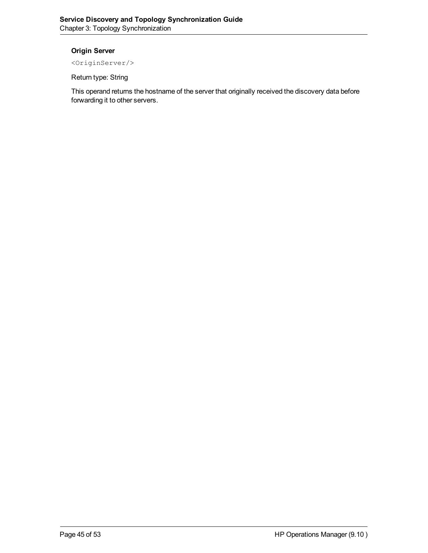#### **Origin Server**

<OriginServer/>

Return type: String

This operand returns the hostname of the server that originally received the discovery data before forwarding it to other servers.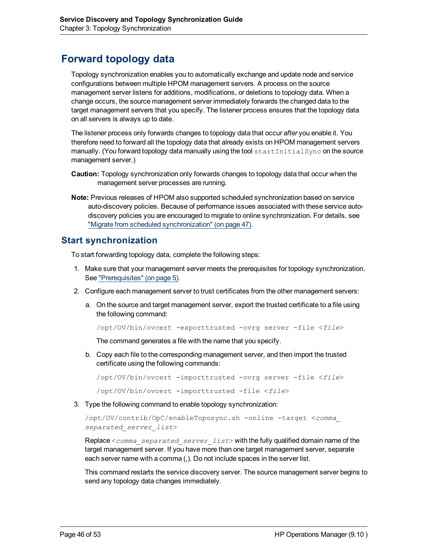# <span id="page-45-0"></span>**Forward topology data**

Topology synchronization enables you to automatically exchange and update node and service configurations between multiple HPOM management servers. A process on the source management server listens for additions, modifications, or deletions to topology data. When a change occurs, the source management server immediately forwards the changed data to the target management servers that you specify. The listener process ensures that the topology data on all servers is always up to date.

The listener process only forwards changes to topology data that occur *after* you enable it. You therefore need to forward all the topology data that already exists on HPOM management servers manually. (You forward topology data manually using the tool startInitialSync on the source management server.)

- **Caution:** Topology synchronization only forwards changes to topology data that occur when the management server processes are running.
- **Note:** Previous releases of HPOM also supported scheduled synchronization based on service auto-discovery policies. Because of performance issues associated with these service autodiscovery policies you are encouraged to migrate to online synchronization. For details, see ["Migrate](#page-46-0) [from](#page-46-0) [scheduled](#page-46-0) [synchronization"](#page-46-0) [\(on](#page-46-0) [page](#page-46-0) [47\)](#page-46-0).

### <span id="page-45-1"></span>**Start synchronization**

To start forwarding topology data, complete the following steps:

- 1. Make sure that your management server meets the prerequisites for topology synchronization. See ["Prerequisites"](#page-4-1) [\(on](#page-4-1) [page](#page-4-1) [5\)](#page-4-1).
- 2. Configure each management server to trust certificates from the other management servers:
	- a. On the source and target management server, export the trusted certificate to a file using the following command:

```
/opt/OV/bin/ovcert -exporttrusted -ovrg server -file <file>
```
The command generates a file with the name that you specify.

b. Copy each file to the corresponding management server, and then import the trusted certificate using the following commands:

```
/opt/OV/bin/ovcert -importtrusted -ovrg server -file <file>
```
/opt/OV/bin/ovcert -importtrusted -file <*file*>

3. Type the following command to enable topology synchronization:

```
/opt/OV/contrib/OpC/enableToposync.sh -online -target <comma_
separated_server_list>
```
Replace <*comma\_separated\_server\_list*> with the fully qualified domain name of the target management server. If you have more than one target management server, separate each server name with a comma (,). Do not include spaces in the server list.

This command restarts the service discovery server. The source management server begins to send any topology data changes immediately.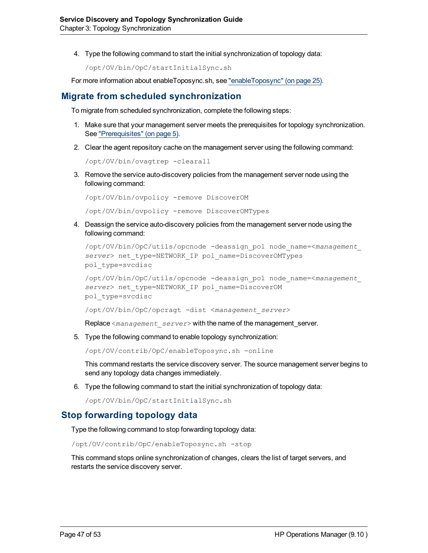4. Type the following command to start the initial synchronization of topology data:

```
/opt/OV/bin/OpC/startInitialSync.sh
```
<span id="page-46-0"></span>For more information about enableToposync.sh, see ["enableToposync"](#page-24-0) [\(on](#page-24-0) [page](#page-24-0) [25\)](#page-24-0).

### **Migrate from scheduled synchronization**

To migrate from scheduled synchronization, complete the following steps:

- 1. Make sure that your management server meets the prerequisites for topology synchronization. See ["Prerequisites"](#page-4-1) [\(on](#page-4-1) [page](#page-4-1) [5\)](#page-4-1).
- 2. Clear the agent repository cache on the management server using the following command:

```
/opt/OV/bin/ovagtrep -clearall
```
3. Remove the service auto-discovery policies from the management server node using the following command:

```
/opt/OV/bin/ovpolicy -remove DiscoverOM
/opt/OV/bin/ovpolicy -remove DiscoverOMTypes
```
4. Deassign the service auto-discovery policies from the management server node using the following command:

```
/opt/OV/bin/OpC/utils/opcnode -deassign_pol node_name=<management_
server> net_type=NETWORK_IP pol_name=DiscoverOMTypes
pol_type=svcdisc
```

```
/opt/OV/bin/OpC/utils/opcnode -deassign_pol node_name=<management_
server> net_type=NETWORK_IP pol_name=DiscoverOM
pol_type=svcdisc
```
/opt/OV/bin/OpC/opcragt -dist <*management\_server*>

Replace <*management\_server*> with the name of the management\_server.

5. Type the following command to enable topology synchronization:

/opt/OV/contrib/OpC/enableToposync.sh -online

This command restarts the service discovery server. The source management server begins to send any topology data changes immediately.

6. Type the following command to start the initial synchronization of topology data:

```
/opt/OV/bin/OpC/startInitialSync.sh
```
### **Stop forwarding topology data**

Type the following command to stop forwarding topology data:

/opt/OV/contrib/OpC/enableToposync.sh -stop

This command stops online synchronization of changes, clears the list of target servers, and restarts the service discovery server.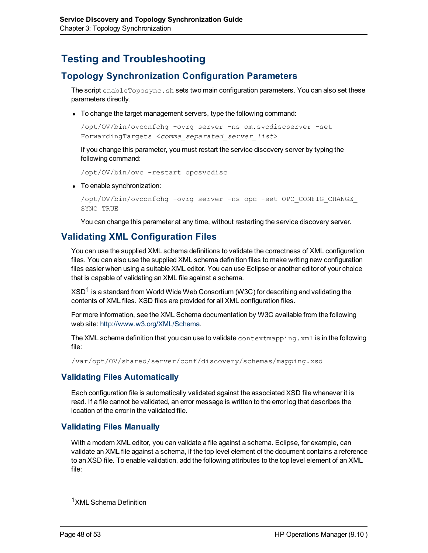# <span id="page-47-1"></span><span id="page-47-0"></span>**Testing and Troubleshooting**

# **Topology Synchronization Configuration Parameters**

The script enableToposync.sh sets two main configuration parameters. You can also set these parameters directly.

• To change the target management servers, type the following command:

/opt/OV/bin/ovconfchg -ovrg server -ns om.svcdiscserver -set ForwardingTargets <*comma\_separated\_server\_list*>

If you change this parameter, you must restart the service discovery server by typing the following command:

/opt/OV/bin/ovc -restart opcsvcdisc

• To enable synchronization:

```
/opt/OV/bin/ovconfchg -ovrg server -ns opc -set OPC_CONFIG_CHANGE_
SYNC TRUE
```
You can change this parameter at any time, without restarting the service discovery server.

## <span id="page-47-2"></span>**Validating XML Configuration Files**

You can use the supplied XML schema definitions to validate the correctness of XML configuration files. You can also use the supplied XML schema definition files to make writing new configuration files easier when using a suitable XML editor. You can use Eclipse or another editor of your choice that is capable of validating an XML file against a schema.

 $XSD<sup>1</sup>$  is a standard from World Wide Web Consortium (W3C) for describing and validating the contents of XML files. XSD files are provided for all XML configuration files.

For more information, see the XML Schema documentation by W3C available from the following web site: [http://www.w3.org/XML/Schema.](http://www.w3.org/XML/Schema)

The XML schema definition that you can use to validate context mapping.  $xml$  is in the following file:

/var/opt/OV/shared/server/conf/discovery/schemas/mapping.xsd

### **Validating Files Automatically**

Each configuration file is automatically validated against the associated XSD file whenever it is read. If a file cannot be validated, an error message is written to the error log that describes the location of the error in the validated file.

#### **Validating Files Manually**

With a modern XML editor, you can validate a file against a schema. Eclipse, for example, can validate an XML file against a schema, if the top level element of the document contains a reference to an XSD file. To enable validation, add the following attributes to the top level element of an XML file:

<sup>1</sup>XML Schema Definition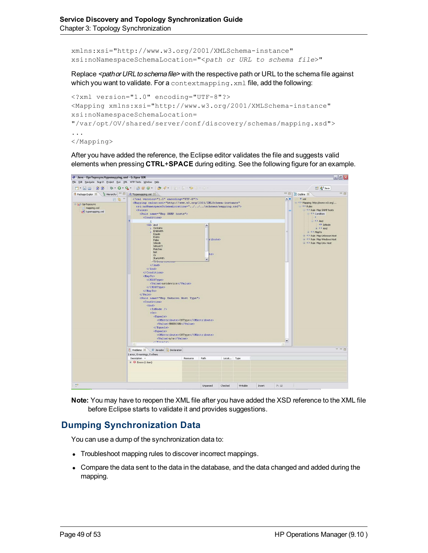xmlns:xsi="http://www.w3.org/2001/XMLSchema-instance" xsi:noNamespaceSchemaLocation="<*path or URL to schema file*>"

Replace <path or URL to schema file> with the respective path or URL to the schema file against which you want to validate. For a contextmapping. xml file, add the following:

```
<?xml version="1.0" encoding="UTF-8"?>
<Mapping xmlns:xsi="http://www.w3.org/2001/XMLSchema-instance"
xsi:noNamespaceSchemaLocation=
"/var/opt/OV/shared/server/conf/discovery/schemas/mapping.xsd">
...
</Mapping>
```
After you have added the reference, the Eclipse editor validates the file and suggests valid elements when pressing **CTRL**+**SPACE** during editing. See the following figure for an example.



**Note:** You may have to reopen the XML file after you have added the XSD reference to the XML file before Eclipse starts to validate it and provides suggestions.

# **Dumping Synchronization Data**

You can use a dump of the synchronization data to:

- Troubleshoot mapping rules to discover incorrect mappings.
- Compare the data sent to the data in the database, and the data changed and added during the mapping.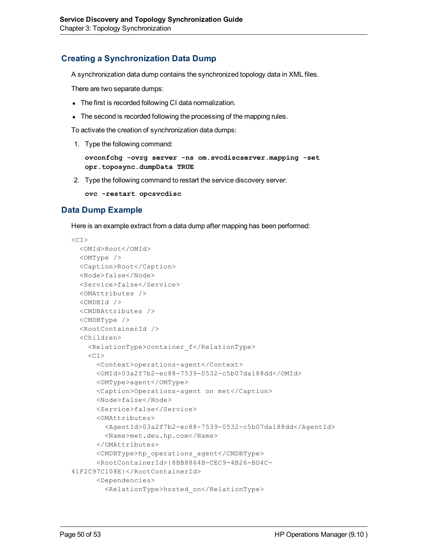### <span id="page-49-0"></span>**Creating a Synchronization Data Dump**

A synchronization data dump contains the synchronized topology data in XML files.

There are two separate dumps:

- The first is recorded following CI data normalization.
- The second is recorded following the processing of the mapping rules.

To activate the creation of synchronization data dumps:

1. Type the following command:

```
ovconfchg -ovrg server -ns om.svcdiscserver.mapping -set
opr.toposync.dumpData TRUE
```
2. Type the following command to restart the service discovery server:

**ovc -restart opcsvcdisc**

### **Data Dump Example**

Here is an example extract from a data dump after mapping has been performed:

```
<CI><OMId>Root</OMId>
 <OMType />
 <Caption>Root</Caption>
 <Node>false</Node>
 <Service>false</Service>
 <OMAttributes />
 <CMDBId />
 <CMDBAttributes />
 <CMDBType />
 <RootContainerId />
 <Children>
   <RelationType>container_f</RelationType>
   <CI><Context>operations-agent</Context>
      <OMId>03a2f7b2-ec88-7539-0532-c5b07da188dd</OMId>
     <OMType>agent</OMType>
     <Caption>Operations-agent on met</Caption>
     <Node>false</Node>
      <Service>false</Service>
      <OMAttributes>
       <AgentId>03a2f7b2-ec88-7539-0532-c5b07da188dd</AgentId>
       <Name>met.deu.hp.com</Name>
      </OMAttributes>
      <CMDBType>hp_operations_agent</CMDBType>
      <RootContainerId>{8BB8864B-CEC9-4B26-BD4C-
41F2C97C108E}</RootContainerId>
     <Dependencies>
        <RelationType>hosted_on</RelationType>
```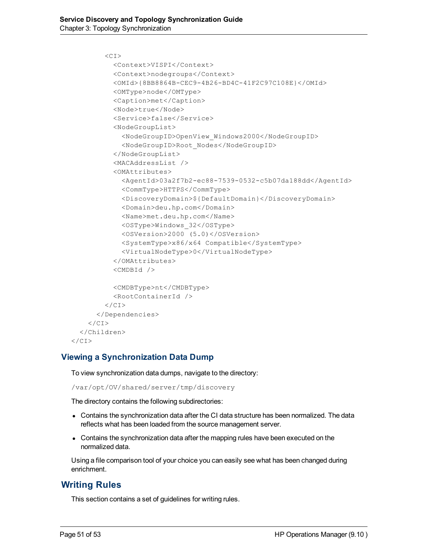```
\langleCT>
          <Context>VISPI</Context>
          <Context>nodegroups</Context>
          <OMId>{8BB8864B-CEC9-4B26-BD4C-41F2C97C108E}</OMId>
          <OMType>node</OMType>
          <Caption>met</Caption>
          <Node>true</Node>
          <Service>false</Service>
          <NodeGroupList>
            <NodeGroupID>OpenView_Windows2000</NodeGroupID>
            <NodeGroupID>Root_Nodes</NodeGroupID>
          </NodeGroupList>
          <MACAddressList />
          <OMAttributes>
            <AgentId>03a2f7b2-ec88-7539-0532-c5b07da188dd</AgentId>
            <CommType>HTTPS</CommType>
            <DiscoveryDomain>${DefaultDomain}</DiscoveryDomain>
            <Domain>deu.hp.com</Domain>
            <Name>met.deu.hp.com</Name>
            <OSType>Windows_32</OSType>
            <OSVersion>2000 (5.0)</OSVersion>
            <SystemType>x86/x64 Compatible</SystemType>
            <VirtualNodeType>0</VirtualNodeType>
          </OMAttributes>
          <CMDBId />
          <CMDBType>nt</CMDBType>
          <RootContainerId />
        \langle/CI></Dependencies>
    \langle/CI></Children>
\langle/CI>
```
### **Viewing a Synchronization Data Dump**

To view synchronization data dumps, navigate to the directory:

/var/opt/OV/shared/server/tmp/discovery

The directory contains the following subdirectories:

- Contains the synchronization data after the CI data structure has been normalized. The data reflects what has been loaded from the source management server.
- Contains the synchronization data after the mapping rules have been executed on the normalized data.

Using a file comparison tool of your choice you can easily see what has been changed during enrichment.

# **Writing Rules**

This section contains a set of guidelines for writing rules.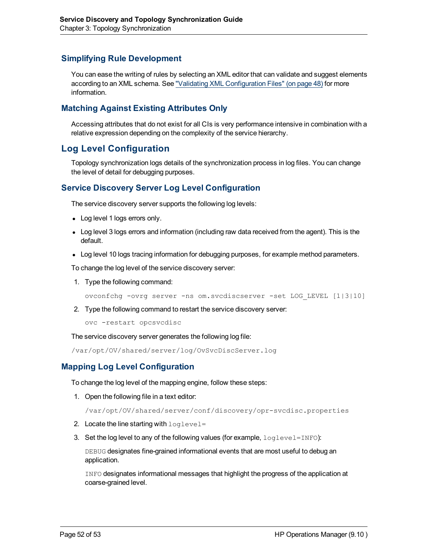### **Simplifying Rule Development**

You can ease the writing of rules by selecting an XML editor that can validate and suggest elements according to an XML schema. See ["Validating](#page-47-2) [XML](#page-47-2) [Configuration](#page-47-2) [Files"](#page-47-2) [\(on](#page-47-2) [page](#page-47-2) [48\)](#page-47-2) for more information.

### **Matching Against Existing Attributes Only**

Accessing attributes that do not exist for all CIs is very performance intensive in combination with a relative expression depending on the complexity of the service hierarchy.

## <span id="page-51-0"></span>**Log Level Configuration**

<span id="page-51-1"></span>Topology synchronization logs details of the synchronization process in log files. You can change the level of detail for debugging purposes.

### **Service Discovery Server Log Level Configuration**

The service discovery server supports the following log levels:

- Log level 1 logs errors only.
- Log level 3 logs errors and information (including raw data received from the agent). This is the default.
- Log level 10 logs tracing information for debugging purposes, for example method parameters.

To change the log level of the service discovery server:

1. Type the following command:

ovconfchg -ovrg server -ns om.svcdiscserver -set LOG\_LEVEL [1|3|10]

2. Type the following command to restart the service discovery server:

ovc -restart opcsvcdisc

The service discovery server generates the following log file:

<span id="page-51-2"></span>/var/opt/OV/shared/server/log/OvSvcDiscServer.log

### **Mapping Log Level Configuration**

To change the log level of the mapping engine, follow these steps:

1. Open the following file in a text editor:

/var/opt/OV/shared/server/conf/discovery/opr-svcdisc.properties

- 2. Locate the line starting with  $loglevel =$
- 3. Set the log level to any of the following values (for example,  $loglevel=INFO)$ :

DEBUG designates fine-grained informational events that are most useful to debug an application.

INFO designates informational messages that highlight the progress of the application at coarse-grained level.